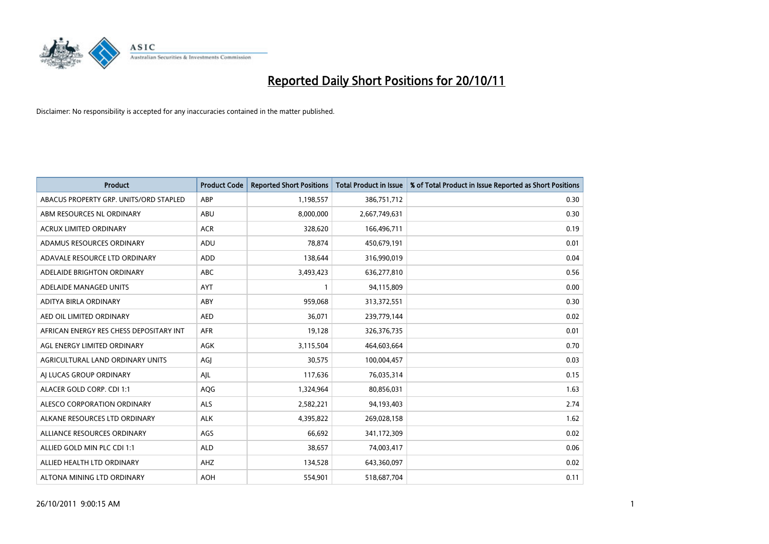

| <b>Product</b>                          | <b>Product Code</b> | <b>Reported Short Positions</b> | <b>Total Product in Issue</b> | % of Total Product in Issue Reported as Short Positions |
|-----------------------------------------|---------------------|---------------------------------|-------------------------------|---------------------------------------------------------|
| ABACUS PROPERTY GRP. UNITS/ORD STAPLED  | ABP                 | 1,198,557                       | 386,751,712                   | 0.30                                                    |
| ABM RESOURCES NL ORDINARY               | ABU                 | 8,000,000                       | 2,667,749,631                 | 0.30                                                    |
| <b>ACRUX LIMITED ORDINARY</b>           | <b>ACR</b>          | 328,620                         | 166,496,711                   | 0.19                                                    |
| ADAMUS RESOURCES ORDINARY               | ADU                 | 78,874                          | 450,679,191                   | 0.01                                                    |
| ADAVALE RESOURCE LTD ORDINARY           | ADD                 | 138,644                         | 316,990,019                   | 0.04                                                    |
| ADELAIDE BRIGHTON ORDINARY              | <b>ABC</b>          | 3,493,423                       | 636,277,810                   | 0.56                                                    |
| ADELAIDE MANAGED UNITS                  | <b>AYT</b>          |                                 | 94,115,809                    | 0.00                                                    |
| ADITYA BIRLA ORDINARY                   | ABY                 | 959,068                         | 313,372,551                   | 0.30                                                    |
| AED OIL LIMITED ORDINARY                | <b>AED</b>          | 36,071                          | 239,779,144                   | 0.02                                                    |
| AFRICAN ENERGY RES CHESS DEPOSITARY INT | <b>AFR</b>          | 19,128                          | 326,376,735                   | 0.01                                                    |
| AGL ENERGY LIMITED ORDINARY             | <b>AGK</b>          | 3,115,504                       | 464,603,664                   | 0.70                                                    |
| AGRICULTURAL LAND ORDINARY UNITS        | AGJ                 | 30,575                          | 100,004,457                   | 0.03                                                    |
| AI LUCAS GROUP ORDINARY                 | AIL                 | 117,636                         | 76,035,314                    | 0.15                                                    |
| ALACER GOLD CORP. CDI 1:1               | AQG                 | 1,324,964                       | 80,856,031                    | 1.63                                                    |
| ALESCO CORPORATION ORDINARY             | <b>ALS</b>          | 2,582,221                       | 94,193,403                    | 2.74                                                    |
| ALKANE RESOURCES LTD ORDINARY           | <b>ALK</b>          | 4,395,822                       | 269,028,158                   | 1.62                                                    |
| ALLIANCE RESOURCES ORDINARY             | AGS                 | 66,692                          | 341,172,309                   | 0.02                                                    |
| ALLIED GOLD MIN PLC CDI 1:1             | <b>ALD</b>          | 38,657                          | 74,003,417                    | 0.06                                                    |
| ALLIED HEALTH LTD ORDINARY              | AHZ                 | 134,528                         | 643,360,097                   | 0.02                                                    |
| ALTONA MINING LTD ORDINARY              | <b>AOH</b>          | 554,901                         | 518,687,704                   | 0.11                                                    |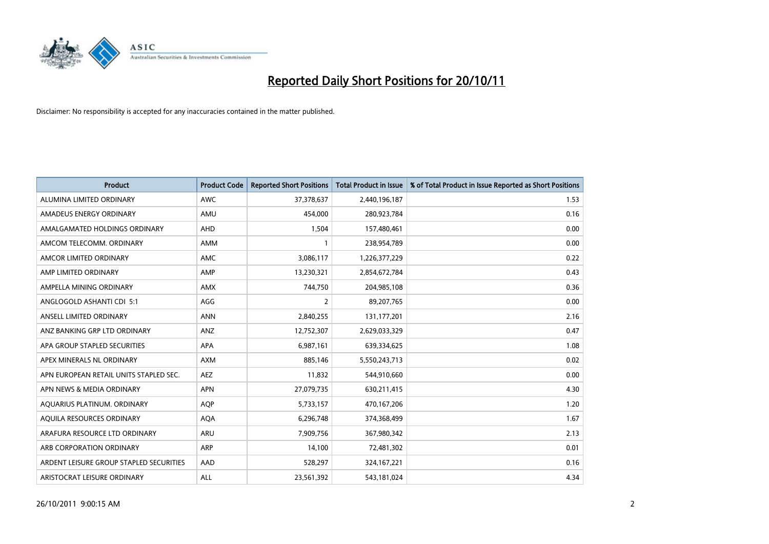

| <b>Product</b>                          | <b>Product Code</b> | <b>Reported Short Positions</b> | <b>Total Product in Issue</b> | % of Total Product in Issue Reported as Short Positions |
|-----------------------------------------|---------------------|---------------------------------|-------------------------------|---------------------------------------------------------|
| ALUMINA LIMITED ORDINARY                | <b>AWC</b>          | 37,378,637                      | 2,440,196,187                 | 1.53                                                    |
| AMADEUS ENERGY ORDINARY                 | AMU                 | 454,000                         | 280,923,784                   | 0.16                                                    |
| AMALGAMATED HOLDINGS ORDINARY           | <b>AHD</b>          | 1,504                           | 157,480,461                   | 0.00                                                    |
| AMCOM TELECOMM. ORDINARY                | <b>AMM</b>          |                                 | 238,954,789                   | 0.00                                                    |
| AMCOR LIMITED ORDINARY                  | AMC                 | 3,086,117                       | 1,226,377,229                 | 0.22                                                    |
| AMP LIMITED ORDINARY                    | AMP                 | 13,230,321                      | 2,854,672,784                 | 0.43                                                    |
| AMPELLA MINING ORDINARY                 | <b>AMX</b>          | 744,750                         | 204,985,108                   | 0.36                                                    |
| ANGLOGOLD ASHANTI CDI 5:1               | AGG                 | 2                               | 89,207,765                    | 0.00                                                    |
| ANSELL LIMITED ORDINARY                 | <b>ANN</b>          | 2,840,255                       | 131, 177, 201                 | 2.16                                                    |
| ANZ BANKING GRP LTD ORDINARY            | <b>ANZ</b>          | 12,752,307                      | 2,629,033,329                 | 0.47                                                    |
| APA GROUP STAPLED SECURITIES            | <b>APA</b>          | 6,987,161                       | 639,334,625                   | 1.08                                                    |
| APEX MINERALS NL ORDINARY               | <b>AXM</b>          | 885,146                         | 5,550,243,713                 | 0.02                                                    |
| APN EUROPEAN RETAIL UNITS STAPLED SEC.  | <b>AEZ</b>          | 11,832                          | 544,910,660                   | 0.00                                                    |
| APN NEWS & MEDIA ORDINARY               | <b>APN</b>          | 27,079,735                      | 630,211,415                   | 4.30                                                    |
| AQUARIUS PLATINUM. ORDINARY             | <b>AOP</b>          | 5,733,157                       | 470,167,206                   | 1.20                                                    |
| AQUILA RESOURCES ORDINARY               | <b>AQA</b>          | 6,296,748                       | 374,368,499                   | 1.67                                                    |
| ARAFURA RESOURCE LTD ORDINARY           | <b>ARU</b>          | 7,909,756                       | 367,980,342                   | 2.13                                                    |
| ARB CORPORATION ORDINARY                | <b>ARP</b>          | 14,100                          | 72,481,302                    | 0.01                                                    |
| ARDENT LEISURE GROUP STAPLED SECURITIES | AAD                 | 528,297                         | 324, 167, 221                 | 0.16                                                    |
| ARISTOCRAT LEISURE ORDINARY             | <b>ALL</b>          | 23,561,392                      | 543,181,024                   | 4.34                                                    |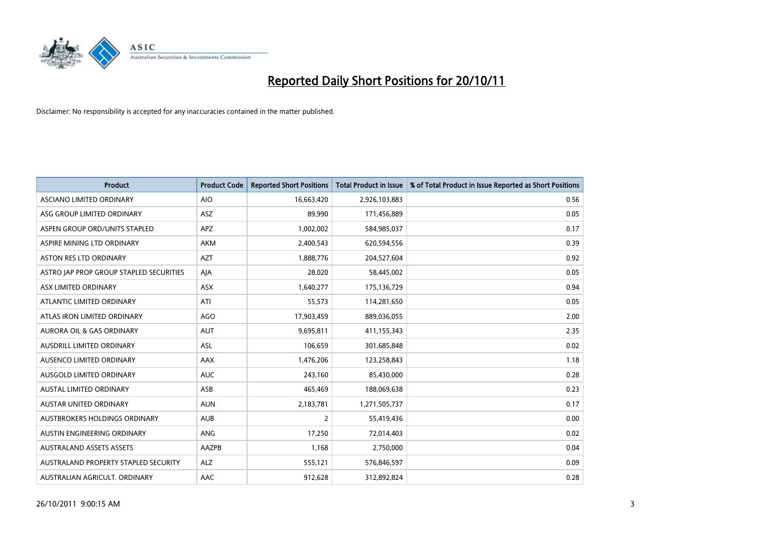

| <b>Product</b>                          | <b>Product Code</b> | <b>Reported Short Positions</b> | <b>Total Product in Issue</b> | % of Total Product in Issue Reported as Short Positions |
|-----------------------------------------|---------------------|---------------------------------|-------------------------------|---------------------------------------------------------|
| <b>ASCIANO LIMITED ORDINARY</b>         | <b>AIO</b>          | 16,663,420                      | 2,926,103,883                 | 0.56                                                    |
| ASG GROUP LIMITED ORDINARY              | <b>ASZ</b>          | 89,990                          | 171,456,889                   | 0.05                                                    |
| ASPEN GROUP ORD/UNITS STAPLED           | <b>APZ</b>          | 1,002,002                       | 584,985,037                   | 0.17                                                    |
| ASPIRE MINING LTD ORDINARY              | <b>AKM</b>          | 2,400,543                       | 620,594,556                   | 0.39                                                    |
| <b>ASTON RES LTD ORDINARY</b>           | AZT                 | 1,888,776                       | 204,527,604                   | 0.92                                                    |
| ASTRO JAP PROP GROUP STAPLED SECURITIES | AIA                 | 28,020                          | 58,445,002                    | 0.05                                                    |
| ASX LIMITED ORDINARY                    | <b>ASX</b>          | 1,640,277                       | 175,136,729                   | 0.94                                                    |
| ATLANTIC LIMITED ORDINARY               | ATI                 | 55,573                          | 114,281,650                   | 0.05                                                    |
| ATLAS IRON LIMITED ORDINARY             | <b>AGO</b>          | 17,903,459                      | 889,036,055                   | 2.00                                                    |
| <b>AURORA OIL &amp; GAS ORDINARY</b>    | <b>AUT</b>          | 9,695,811                       | 411,155,343                   | 2.35                                                    |
| AUSDRILL LIMITED ORDINARY               | <b>ASL</b>          | 106,659                         | 301,685,848                   | 0.02                                                    |
| AUSENCO LIMITED ORDINARY                | AAX                 | 1,476,206                       | 123,258,843                   | 1.18                                                    |
| <b>AUSGOLD LIMITED ORDINARY</b>         | <b>AUC</b>          | 243,160                         | 85,430,000                    | 0.28                                                    |
| <b>AUSTAL LIMITED ORDINARY</b>          | ASB                 | 465,469                         | 188,069,638                   | 0.23                                                    |
| <b>AUSTAR UNITED ORDINARY</b>           | <b>AUN</b>          | 2,183,781                       | 1,271,505,737                 | 0.17                                                    |
| AUSTBROKERS HOLDINGS ORDINARY           | <b>AUB</b>          | 2                               | 55,419,436                    | 0.00                                                    |
| AUSTIN ENGINEERING ORDINARY             | <b>ANG</b>          | 17,250                          | 72,014,403                    | 0.02                                                    |
| <b>AUSTRALAND ASSETS ASSETS</b>         | AAZPB               | 1,168                           | 2,750,000                     | 0.04                                                    |
| AUSTRALAND PROPERTY STAPLED SECURITY    | <b>ALZ</b>          | 555,121                         | 576,846,597                   | 0.09                                                    |
| AUSTRALIAN AGRICULT. ORDINARY           | AAC                 | 912,628                         | 312,892,824                   | 0.28                                                    |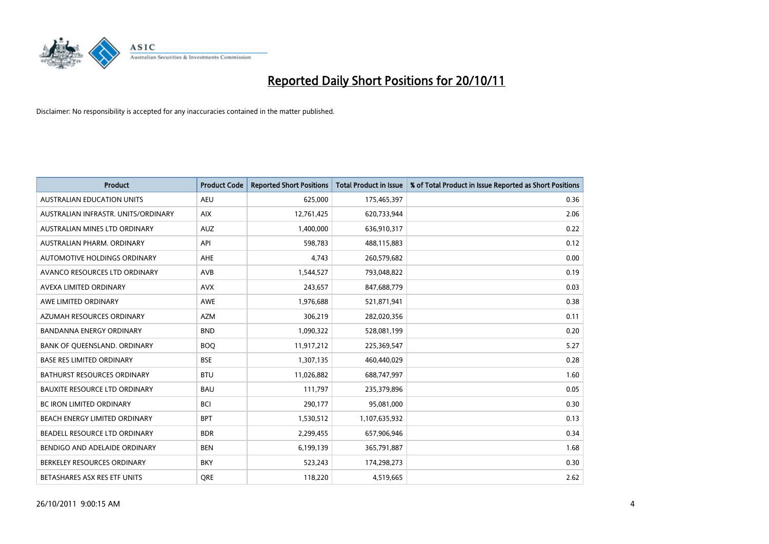

| <b>Product</b>                       | <b>Product Code</b> | <b>Reported Short Positions</b> | <b>Total Product in Issue</b> | % of Total Product in Issue Reported as Short Positions |
|--------------------------------------|---------------------|---------------------------------|-------------------------------|---------------------------------------------------------|
| <b>AUSTRALIAN EDUCATION UNITS</b>    | <b>AEU</b>          | 625,000                         | 175,465,397                   | 0.36                                                    |
| AUSTRALIAN INFRASTR. UNITS/ORDINARY  | <b>AIX</b>          | 12,761,425                      | 620,733,944                   | 2.06                                                    |
| AUSTRALIAN MINES LTD ORDINARY        | <b>AUZ</b>          | 1,400,000                       | 636,910,317                   | 0.22                                                    |
| AUSTRALIAN PHARM. ORDINARY           | API                 | 598,783                         | 488,115,883                   | 0.12                                                    |
| AUTOMOTIVE HOLDINGS ORDINARY         | <b>AHE</b>          | 4,743                           | 260,579,682                   | 0.00                                                    |
| AVANCO RESOURCES LTD ORDINARY        | <b>AVB</b>          | 1,544,527                       | 793,048,822                   | 0.19                                                    |
| AVEXA LIMITED ORDINARY               | <b>AVX</b>          | 243,657                         | 847,688,779                   | 0.03                                                    |
| AWE LIMITED ORDINARY                 | <b>AWE</b>          | 1,976,688                       | 521,871,941                   | 0.38                                                    |
| AZUMAH RESOURCES ORDINARY            | <b>AZM</b>          | 306,219                         | 282,020,356                   | 0.11                                                    |
| <b>BANDANNA ENERGY ORDINARY</b>      | <b>BND</b>          | 1,090,322                       | 528,081,199                   | 0.20                                                    |
| BANK OF QUEENSLAND. ORDINARY         | <b>BOQ</b>          | 11,917,212                      | 225,369,547                   | 5.27                                                    |
| <b>BASE RES LIMITED ORDINARY</b>     | <b>BSE</b>          | 1,307,135                       | 460,440,029                   | 0.28                                                    |
| BATHURST RESOURCES ORDINARY          | <b>BTU</b>          | 11,026,882                      | 688,747,997                   | 1.60                                                    |
| <b>BAUXITE RESOURCE LTD ORDINARY</b> | <b>BAU</b>          | 111,797                         | 235,379,896                   | 0.05                                                    |
| <b>BC IRON LIMITED ORDINARY</b>      | <b>BCI</b>          | 290,177                         | 95,081,000                    | 0.30                                                    |
| BEACH ENERGY LIMITED ORDINARY        | <b>BPT</b>          | 1,530,512                       | 1,107,635,932                 | 0.13                                                    |
| BEADELL RESOURCE LTD ORDINARY        | <b>BDR</b>          | 2,299,455                       | 657,906,946                   | 0.34                                                    |
| BENDIGO AND ADELAIDE ORDINARY        | <b>BEN</b>          | 6,199,139                       | 365,791,887                   | 1.68                                                    |
| BERKELEY RESOURCES ORDINARY          | <b>BKY</b>          | 523,243                         | 174,298,273                   | 0.30                                                    |
| BETASHARES ASX RES ETF UNITS         | <b>ORE</b>          | 118,220                         | 4,519,665                     | 2.62                                                    |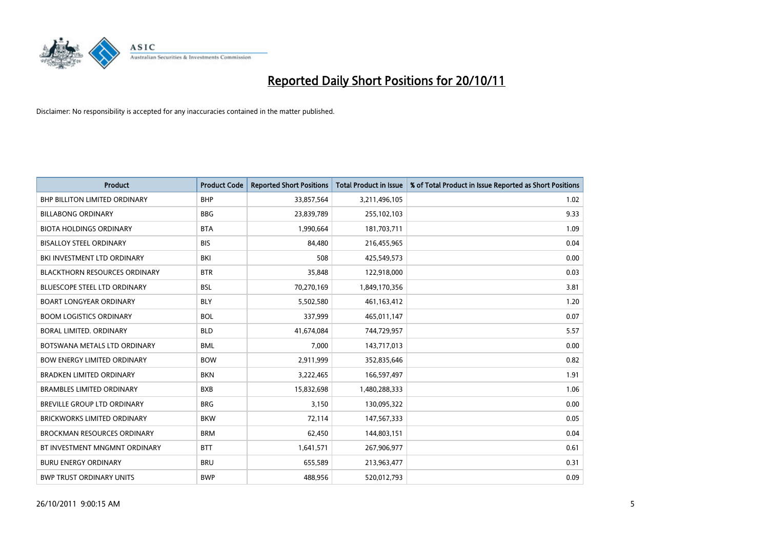

| <b>Product</b>                       | <b>Product Code</b> | <b>Reported Short Positions</b> | <b>Total Product in Issue</b> | % of Total Product in Issue Reported as Short Positions |
|--------------------------------------|---------------------|---------------------------------|-------------------------------|---------------------------------------------------------|
| <b>BHP BILLITON LIMITED ORDINARY</b> | <b>BHP</b>          | 33,857,564                      | 3,211,496,105                 | 1.02                                                    |
| <b>BILLABONG ORDINARY</b>            | <b>BBG</b>          | 23,839,789                      | 255,102,103                   | 9.33                                                    |
| <b>BIOTA HOLDINGS ORDINARY</b>       | <b>BTA</b>          | 1,990,664                       | 181,703,711                   | 1.09                                                    |
| <b>BISALLOY STEEL ORDINARY</b>       | <b>BIS</b>          | 84,480                          | 216,455,965                   | 0.04                                                    |
| BKI INVESTMENT LTD ORDINARY          | BKI                 | 508                             | 425,549,573                   | 0.00                                                    |
| <b>BLACKTHORN RESOURCES ORDINARY</b> | <b>BTR</b>          | 35,848                          | 122,918,000                   | 0.03                                                    |
| <b>BLUESCOPE STEEL LTD ORDINARY</b>  | <b>BSL</b>          | 70,270,169                      | 1,849,170,356                 | 3.81                                                    |
| <b>BOART LONGYEAR ORDINARY</b>       | <b>BLY</b>          | 5,502,580                       | 461,163,412                   | 1.20                                                    |
| <b>BOOM LOGISTICS ORDINARY</b>       | <b>BOL</b>          | 337,999                         | 465,011,147                   | 0.07                                                    |
| BORAL LIMITED, ORDINARY              | <b>BLD</b>          | 41,674,084                      | 744,729,957                   | 5.57                                                    |
| BOTSWANA METALS LTD ORDINARY         | <b>BML</b>          | 7,000                           | 143,717,013                   | 0.00                                                    |
| <b>BOW ENERGY LIMITED ORDINARY</b>   | <b>BOW</b>          | 2,911,999                       | 352,835,646                   | 0.82                                                    |
| <b>BRADKEN LIMITED ORDINARY</b>      | <b>BKN</b>          | 3,222,465                       | 166,597,497                   | 1.91                                                    |
| <b>BRAMBLES LIMITED ORDINARY</b>     | <b>BXB</b>          | 15,832,698                      | 1,480,288,333                 | 1.06                                                    |
| <b>BREVILLE GROUP LTD ORDINARY</b>   | <b>BRG</b>          | 3,150                           | 130,095,322                   | 0.00                                                    |
| BRICKWORKS LIMITED ORDINARY          | <b>BKW</b>          | 72,114                          | 147,567,333                   | 0.05                                                    |
| <b>BROCKMAN RESOURCES ORDINARY</b>   | <b>BRM</b>          | 62,450                          | 144,803,151                   | 0.04                                                    |
| BT INVESTMENT MNGMNT ORDINARY        | <b>BTT</b>          | 1,641,571                       | 267,906,977                   | 0.61                                                    |
| <b>BURU ENERGY ORDINARY</b>          | <b>BRU</b>          | 655,589                         | 213,963,477                   | 0.31                                                    |
| <b>BWP TRUST ORDINARY UNITS</b>      | <b>BWP</b>          | 488.956                         | 520,012,793                   | 0.09                                                    |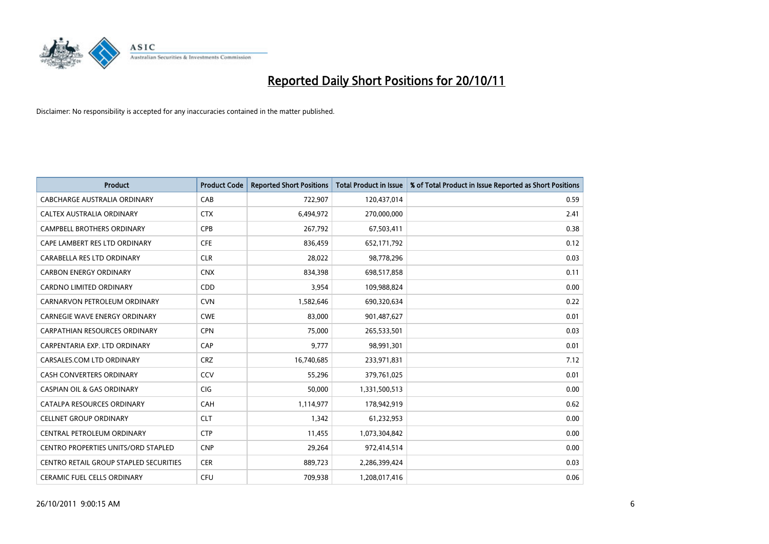

| <b>Product</b>                             | <b>Product Code</b> | <b>Reported Short Positions</b> | <b>Total Product in Issue</b> | % of Total Product in Issue Reported as Short Positions |
|--------------------------------------------|---------------------|---------------------------------|-------------------------------|---------------------------------------------------------|
| CABCHARGE AUSTRALIA ORDINARY               | CAB                 | 722,907                         | 120,437,014                   | 0.59                                                    |
| <b>CALTEX AUSTRALIA ORDINARY</b>           | <b>CTX</b>          | 6,494,972                       | 270,000,000                   | 2.41                                                    |
| <b>CAMPBELL BROTHERS ORDINARY</b>          | <b>CPB</b>          | 267,792                         | 67,503,411                    | 0.38                                                    |
| CAPE LAMBERT RES LTD ORDINARY              | <b>CFE</b>          | 836,459                         | 652,171,792                   | 0.12                                                    |
| <b>CARABELLA RES LTD ORDINARY</b>          | <b>CLR</b>          | 28,022                          | 98,778,296                    | 0.03                                                    |
| <b>CARBON ENERGY ORDINARY</b>              | <b>CNX</b>          | 834,398                         | 698,517,858                   | 0.11                                                    |
| <b>CARDNO LIMITED ORDINARY</b>             | CDD                 | 3.954                           | 109,988,824                   | 0.00                                                    |
| CARNARVON PETROLEUM ORDINARY               | <b>CVN</b>          | 1,582,646                       | 690,320,634                   | 0.22                                                    |
| CARNEGIE WAVE ENERGY ORDINARY              | <b>CWE</b>          | 83,000                          | 901,487,627                   | 0.01                                                    |
| CARPATHIAN RESOURCES ORDINARY              | <b>CPN</b>          | 75.000                          | 265,533,501                   | 0.03                                                    |
| CARPENTARIA EXP. LTD ORDINARY              | CAP                 | 9,777                           | 98,991,301                    | 0.01                                                    |
| CARSALES.COM LTD ORDINARY                  | <b>CRZ</b>          | 16,740,685                      | 233,971,831                   | 7.12                                                    |
| <b>CASH CONVERTERS ORDINARY</b>            | CCV                 | 55,296                          | 379,761,025                   | 0.01                                                    |
| <b>CASPIAN OIL &amp; GAS ORDINARY</b>      | <b>CIG</b>          | 50.000                          | 1,331,500,513                 | 0.00                                                    |
| CATALPA RESOURCES ORDINARY                 | CAH                 | 1,114,977                       | 178,942,919                   | 0.62                                                    |
| <b>CELLNET GROUP ORDINARY</b>              | <b>CLT</b>          | 1,342                           | 61,232,953                    | 0.00                                                    |
| CENTRAL PETROLEUM ORDINARY                 | <b>CTP</b>          | 11,455                          | 1,073,304,842                 | 0.00                                                    |
| <b>CENTRO PROPERTIES UNITS/ORD STAPLED</b> | <b>CNP</b>          | 29,264                          | 972,414,514                   | 0.00                                                    |
| CENTRO RETAIL GROUP STAPLED SECURITIES     | <b>CER</b>          | 889,723                         | 2,286,399,424                 | 0.03                                                    |
| <b>CERAMIC FUEL CELLS ORDINARY</b>         | CFU                 | 709.938                         | 1,208,017,416                 | 0.06                                                    |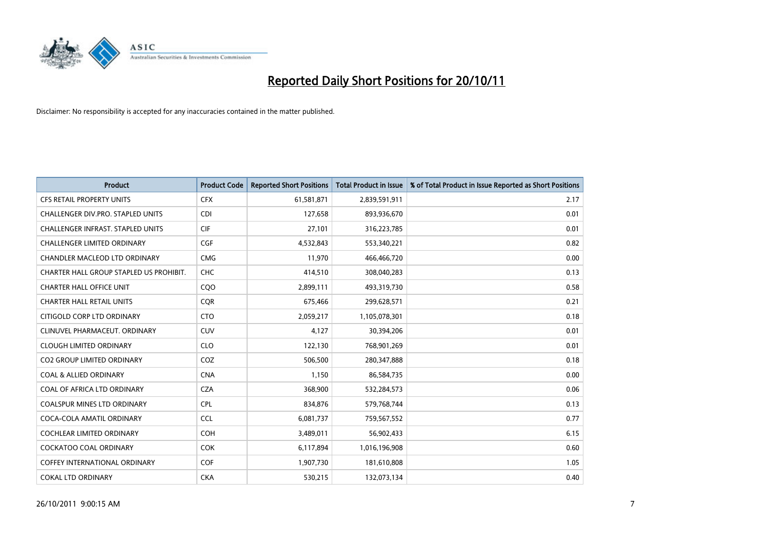

| <b>Product</b>                           | <b>Product Code</b> | <b>Reported Short Positions</b> | <b>Total Product in Issue</b> | % of Total Product in Issue Reported as Short Positions |
|------------------------------------------|---------------------|---------------------------------|-------------------------------|---------------------------------------------------------|
| <b>CFS RETAIL PROPERTY UNITS</b>         | <b>CFX</b>          | 61,581,871                      | 2,839,591,911                 | 2.17                                                    |
| CHALLENGER DIV.PRO. STAPLED UNITS        | <b>CDI</b>          | 127,658                         | 893,936,670                   | 0.01                                                    |
| <b>CHALLENGER INFRAST, STAPLED UNITS</b> | <b>CIF</b>          | 27,101                          | 316,223,785                   | 0.01                                                    |
| CHALLENGER LIMITED ORDINARY              | <b>CGF</b>          | 4,532,843                       | 553,340,221                   | 0.82                                                    |
| CHANDLER MACLEOD LTD ORDINARY            | <b>CMG</b>          | 11,970                          | 466,466,720                   | 0.00                                                    |
| CHARTER HALL GROUP STAPLED US PROHIBIT.  | <b>CHC</b>          | 414,510                         | 308,040,283                   | 0.13                                                    |
| <b>CHARTER HALL OFFICE UNIT</b>          | CQ <sub>O</sub>     | 2,899,111                       | 493,319,730                   | 0.58                                                    |
| <b>CHARTER HALL RETAIL UNITS</b>         | <b>COR</b>          | 675,466                         | 299,628,571                   | 0.21                                                    |
| CITIGOLD CORP LTD ORDINARY               | <b>CTO</b>          | 2,059,217                       | 1,105,078,301                 | 0.18                                                    |
| CLINUVEL PHARMACEUT, ORDINARY            | <b>CUV</b>          | 4,127                           | 30,394,206                    | 0.01                                                    |
| <b>CLOUGH LIMITED ORDINARY</b>           | <b>CLO</b>          | 122,130                         | 768,901,269                   | 0.01                                                    |
| <b>CO2 GROUP LIMITED ORDINARY</b>        | COZ                 | 506,500                         | 280,347,888                   | 0.18                                                    |
| <b>COAL &amp; ALLIED ORDINARY</b>        | <b>CNA</b>          | 1,150                           | 86,584,735                    | 0.00                                                    |
| COAL OF AFRICA LTD ORDINARY              | <b>CZA</b>          | 368,900                         | 532,284,573                   | 0.06                                                    |
| <b>COALSPUR MINES LTD ORDINARY</b>       | <b>CPL</b>          | 834,876                         | 579,768,744                   | 0.13                                                    |
| COCA-COLA AMATIL ORDINARY                | <b>CCL</b>          | 6,081,737                       | 759,567,552                   | 0.77                                                    |
| <b>COCHLEAR LIMITED ORDINARY</b>         | <b>COH</b>          | 3,489,011                       | 56,902,433                    | 6.15                                                    |
| COCKATOO COAL ORDINARY                   | <b>COK</b>          | 6,117,894                       | 1,016,196,908                 | 0.60                                                    |
| <b>COFFEY INTERNATIONAL ORDINARY</b>     | <b>COF</b>          | 1,907,730                       | 181,610,808                   | 1.05                                                    |
| <b>COKAL LTD ORDINARY</b>                | <b>CKA</b>          | 530.215                         | 132,073,134                   | 0.40                                                    |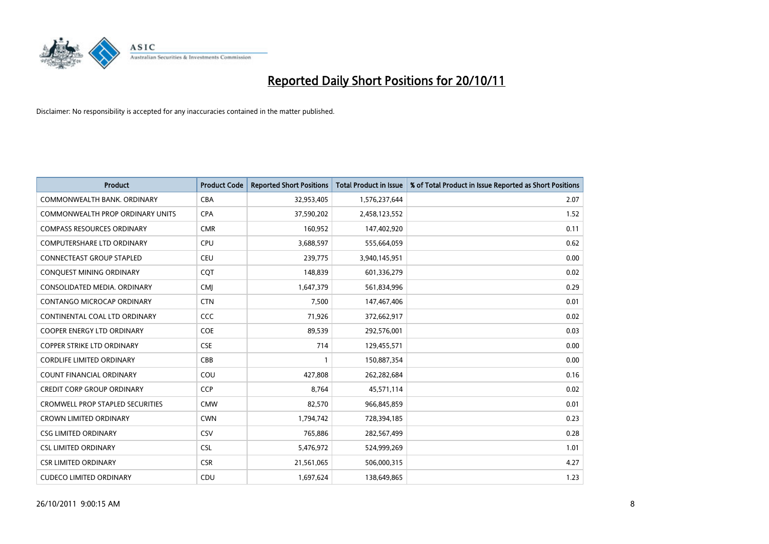

| <b>Product</b>                          | <b>Product Code</b> | <b>Reported Short Positions</b> | <b>Total Product in Issue</b> | % of Total Product in Issue Reported as Short Positions |
|-----------------------------------------|---------------------|---------------------------------|-------------------------------|---------------------------------------------------------|
| COMMONWEALTH BANK, ORDINARY             | <b>CBA</b>          | 32,953,405                      | 1,576,237,644                 | 2.07                                                    |
| COMMONWEALTH PROP ORDINARY UNITS        | <b>CPA</b>          | 37,590,202                      | 2,458,123,552                 | 1.52                                                    |
| <b>COMPASS RESOURCES ORDINARY</b>       | <b>CMR</b>          | 160,952                         | 147,402,920                   | 0.11                                                    |
| COMPUTERSHARE LTD ORDINARY              | <b>CPU</b>          | 3,688,597                       | 555,664,059                   | 0.62                                                    |
| <b>CONNECTEAST GROUP STAPLED</b>        | <b>CEU</b>          | 239,775                         | 3,940,145,951                 | 0.00                                                    |
| CONQUEST MINING ORDINARY                | <b>CQT</b>          | 148,839                         | 601,336,279                   | 0.02                                                    |
| CONSOLIDATED MEDIA, ORDINARY            | <b>CMI</b>          | 1,647,379                       | 561,834,996                   | 0.29                                                    |
| <b>CONTANGO MICROCAP ORDINARY</b>       | <b>CTN</b>          | 7,500                           | 147,467,406                   | 0.01                                                    |
| CONTINENTAL COAL LTD ORDINARY           | CCC                 | 71,926                          | 372,662,917                   | 0.02                                                    |
| <b>COOPER ENERGY LTD ORDINARY</b>       | COE                 | 89,539                          | 292,576,001                   | 0.03                                                    |
| <b>COPPER STRIKE LTD ORDINARY</b>       | <b>CSE</b>          | 714                             | 129,455,571                   | 0.00                                                    |
| <b>CORDLIFE LIMITED ORDINARY</b>        | CBB                 |                                 | 150,887,354                   | 0.00                                                    |
| COUNT FINANCIAL ORDINARY                | COU                 | 427,808                         | 262,282,684                   | 0.16                                                    |
| <b>CREDIT CORP GROUP ORDINARY</b>       | <b>CCP</b>          | 8,764                           | 45,571,114                    | 0.02                                                    |
| <b>CROMWELL PROP STAPLED SECURITIES</b> | <b>CMW</b>          | 82,570                          | 966,845,859                   | 0.01                                                    |
| <b>CROWN LIMITED ORDINARY</b>           | <b>CWN</b>          | 1,794,742                       | 728,394,185                   | 0.23                                                    |
| <b>CSG LIMITED ORDINARY</b>             | CSV                 | 765,886                         | 282,567,499                   | 0.28                                                    |
| <b>CSL LIMITED ORDINARY</b>             | <b>CSL</b>          | 5,476,972                       | 524,999,269                   | 1.01                                                    |
| <b>CSR LIMITED ORDINARY</b>             | <b>CSR</b>          | 21,561,065                      | 506,000,315                   | 4.27                                                    |
| <b>CUDECO LIMITED ORDINARY</b>          | CDU                 | 1,697,624                       | 138,649,865                   | 1.23                                                    |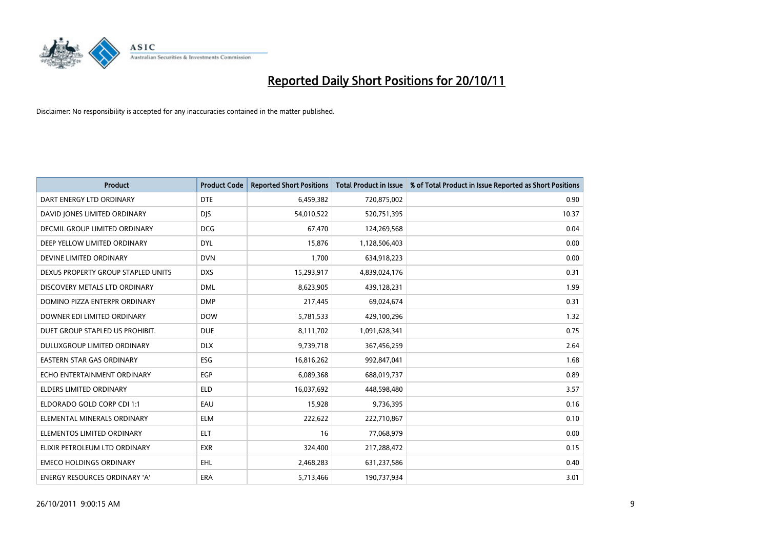

| <b>Product</b>                       | <b>Product Code</b> | <b>Reported Short Positions</b> | <b>Total Product in Issue</b> | % of Total Product in Issue Reported as Short Positions |
|--------------------------------------|---------------------|---------------------------------|-------------------------------|---------------------------------------------------------|
| DART ENERGY LTD ORDINARY             | <b>DTE</b>          | 6,459,382                       | 720,875,002                   | 0.90                                                    |
| DAVID JONES LIMITED ORDINARY         | <b>DIS</b>          | 54,010,522                      | 520,751,395                   | 10.37                                                   |
| <b>DECMIL GROUP LIMITED ORDINARY</b> | <b>DCG</b>          | 67,470                          | 124,269,568                   | 0.04                                                    |
| DEEP YELLOW LIMITED ORDINARY         | <b>DYL</b>          | 15,876                          | 1,128,506,403                 | 0.00                                                    |
| DEVINE LIMITED ORDINARY              | <b>DVN</b>          | 1,700                           | 634,918,223                   | 0.00                                                    |
| DEXUS PROPERTY GROUP STAPLED UNITS   | <b>DXS</b>          | 15,293,917                      | 4,839,024,176                 | 0.31                                                    |
| DISCOVERY METALS LTD ORDINARY        | <b>DML</b>          | 8,623,905                       | 439,128,231                   | 1.99                                                    |
| DOMINO PIZZA ENTERPR ORDINARY        | <b>DMP</b>          | 217,445                         | 69,024,674                    | 0.31                                                    |
| DOWNER EDI LIMITED ORDINARY          | <b>DOW</b>          | 5,781,533                       | 429,100,296                   | 1.32                                                    |
| DUET GROUP STAPLED US PROHIBIT.      | <b>DUE</b>          | 8,111,702                       | 1,091,628,341                 | 0.75                                                    |
| DULUXGROUP LIMITED ORDINARY          | <b>DLX</b>          | 9,739,718                       | 367,456,259                   | 2.64                                                    |
| <b>EASTERN STAR GAS ORDINARY</b>     | ESG                 | 16,816,262                      | 992,847,041                   | 1.68                                                    |
| ECHO ENTERTAINMENT ORDINARY          | EGP                 | 6,089,368                       | 688,019,737                   | 0.89                                                    |
| <b>ELDERS LIMITED ORDINARY</b>       | <b>ELD</b>          | 16,037,692                      | 448,598,480                   | 3.57                                                    |
| ELDORADO GOLD CORP CDI 1:1           | EAU                 | 15,928                          | 9,736,395                     | 0.16                                                    |
| ELEMENTAL MINERALS ORDINARY          | <b>ELM</b>          | 222,622                         | 222,710,867                   | 0.10                                                    |
| ELEMENTOS LIMITED ORDINARY           | <b>ELT</b>          | 16                              | 77,068,979                    | 0.00                                                    |
| ELIXIR PETROLEUM LTD ORDINARY        | <b>EXR</b>          | 324,400                         | 217,288,472                   | 0.15                                                    |
| <b>EMECO HOLDINGS ORDINARY</b>       | <b>EHL</b>          | 2,468,283                       | 631,237,586                   | 0.40                                                    |
| ENERGY RESOURCES ORDINARY 'A'        | ERA                 | 5,713,466                       | 190,737,934                   | 3.01                                                    |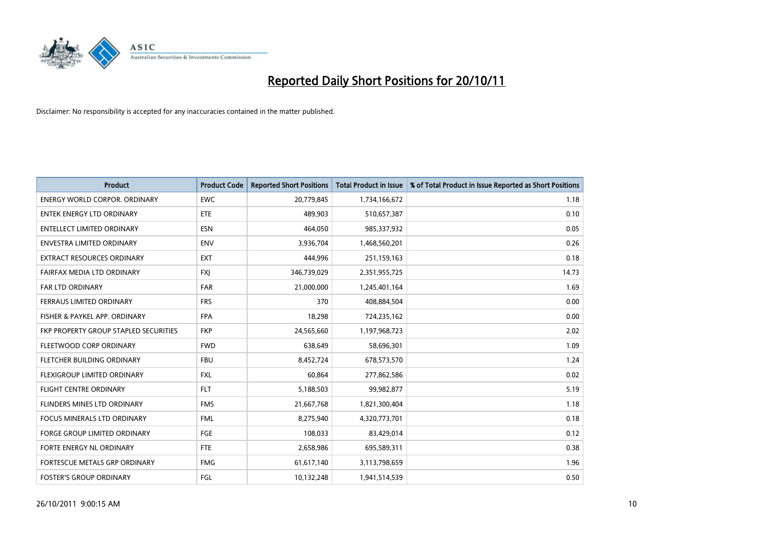

| <b>Product</b>                               | <b>Product Code</b> | <b>Reported Short Positions</b> | <b>Total Product in Issue</b> | % of Total Product in Issue Reported as Short Positions |
|----------------------------------------------|---------------------|---------------------------------|-------------------------------|---------------------------------------------------------|
| <b>ENERGY WORLD CORPOR, ORDINARY</b>         | <b>EWC</b>          | 20,779,845                      | 1,734,166,672                 | 1.18                                                    |
| <b>ENTEK ENERGY LTD ORDINARY</b>             | ETE                 | 489.903                         | 510,657,387                   | 0.10                                                    |
| <b>ENTELLECT LIMITED ORDINARY</b>            | <b>ESN</b>          | 464,050                         | 985,337,932                   | 0.05                                                    |
| ENVESTRA LIMITED ORDINARY                    | <b>ENV</b>          | 3,936,704                       | 1,468,560,201                 | 0.26                                                    |
| <b>EXTRACT RESOURCES ORDINARY</b>            | <b>EXT</b>          | 444.996                         | 251,159,163                   | 0.18                                                    |
| FAIRFAX MEDIA LTD ORDINARY                   | <b>FXJ</b>          | 346,739,029                     | 2,351,955,725                 | 14.73                                                   |
| <b>FAR LTD ORDINARY</b>                      | <b>FAR</b>          | 21,000,000                      | 1,245,401,164                 | 1.69                                                    |
| <b>FERRAUS LIMITED ORDINARY</b>              | <b>FRS</b>          | 370                             | 408,884,504                   | 0.00                                                    |
| FISHER & PAYKEL APP. ORDINARY                | <b>FPA</b>          | 18,298                          | 724,235,162                   | 0.00                                                    |
| <b>FKP PROPERTY GROUP STAPLED SECURITIES</b> | <b>FKP</b>          | 24,565,660                      | 1,197,968,723                 | 2.02                                                    |
| FLEETWOOD CORP ORDINARY                      | <b>FWD</b>          | 638,649                         | 58,696,301                    | 1.09                                                    |
| FLETCHER BUILDING ORDINARY                   | <b>FBU</b>          | 8,452,724                       | 678,573,570                   | 1.24                                                    |
| <b>FLEXIGROUP LIMITED ORDINARY</b>           | <b>FXL</b>          | 60.864                          | 277,862,586                   | 0.02                                                    |
| <b>FLIGHT CENTRE ORDINARY</b>                | <b>FLT</b>          | 5,188,503                       | 99,982,877                    | 5.19                                                    |
| <b>FLINDERS MINES LTD ORDINARY</b>           | <b>FMS</b>          | 21,667,768                      | 1,821,300,404                 | 1.18                                                    |
| <b>FOCUS MINERALS LTD ORDINARY</b>           | <b>FML</b>          | 8,275,940                       | 4,320,773,701                 | 0.18                                                    |
| <b>FORGE GROUP LIMITED ORDINARY</b>          | FGE                 | 108,033                         | 83,429,014                    | 0.12                                                    |
| FORTE ENERGY NL ORDINARY                     | <b>FTE</b>          | 2,658,986                       | 695,589,311                   | 0.38                                                    |
| <b>FORTESCUE METALS GRP ORDINARY</b>         | <b>FMG</b>          | 61,617,140                      | 3,113,798,659                 | 1.96                                                    |
| <b>FOSTER'S GROUP ORDINARY</b>               | FGL                 | 10,132,248                      | 1,941,514,539                 | 0.50                                                    |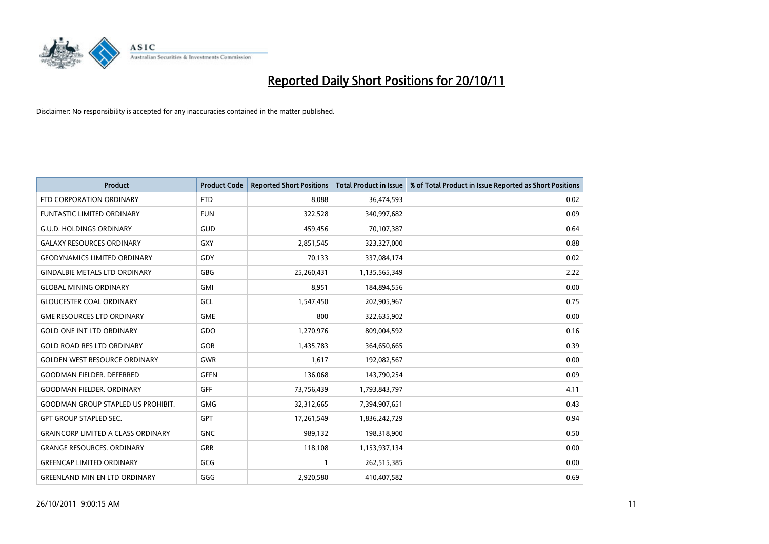

| <b>Product</b>                            | <b>Product Code</b> | <b>Reported Short Positions</b> | <b>Total Product in Issue</b> | % of Total Product in Issue Reported as Short Positions |
|-------------------------------------------|---------------------|---------------------------------|-------------------------------|---------------------------------------------------------|
| FTD CORPORATION ORDINARY                  | <b>FTD</b>          | 8,088                           | 36,474,593                    | 0.02                                                    |
| FUNTASTIC LIMITED ORDINARY                | <b>FUN</b>          | 322,528                         | 340,997,682                   | 0.09                                                    |
| <b>G.U.D. HOLDINGS ORDINARY</b>           | GUD                 | 459,456                         | 70,107,387                    | 0.64                                                    |
| <b>GALAXY RESOURCES ORDINARY</b>          | GXY                 | 2,851,545                       | 323,327,000                   | 0.88                                                    |
| <b>GEODYNAMICS LIMITED ORDINARY</b>       | GDY                 | 70,133                          | 337,084,174                   | 0.02                                                    |
| <b>GINDALBIE METALS LTD ORDINARY</b>      | GBG                 | 25,260,431                      | 1,135,565,349                 | 2.22                                                    |
| <b>GLOBAL MINING ORDINARY</b>             | <b>GMI</b>          | 8,951                           | 184,894,556                   | 0.00                                                    |
| <b>GLOUCESTER COAL ORDINARY</b>           | GCL                 | 1,547,450                       | 202,905,967                   | 0.75                                                    |
| <b>GME RESOURCES LTD ORDINARY</b>         | <b>GME</b>          | 800                             | 322,635,902                   | 0.00                                                    |
| <b>GOLD ONE INT LTD ORDINARY</b>          | GDO                 | 1,270,976                       | 809,004,592                   | 0.16                                                    |
| <b>GOLD ROAD RES LTD ORDINARY</b>         | <b>GOR</b>          | 1,435,783                       | 364,650,665                   | 0.39                                                    |
| <b>GOLDEN WEST RESOURCE ORDINARY</b>      | <b>GWR</b>          | 1.617                           | 192,082,567                   | 0.00                                                    |
| <b>GOODMAN FIELDER. DEFERRED</b>          | <b>GFFN</b>         | 136,068                         | 143,790,254                   | 0.09                                                    |
| <b>GOODMAN FIELDER, ORDINARY</b>          | <b>GFF</b>          | 73,756,439                      | 1,793,843,797                 | 4.11                                                    |
| <b>GOODMAN GROUP STAPLED US PROHIBIT.</b> | <b>GMG</b>          | 32,312,665                      | 7,394,907,651                 | 0.43                                                    |
| <b>GPT GROUP STAPLED SEC.</b>             | <b>GPT</b>          | 17,261,549                      | 1,836,242,729                 | 0.94                                                    |
| <b>GRAINCORP LIMITED A CLASS ORDINARY</b> | <b>GNC</b>          | 989,132                         | 198,318,900                   | 0.50                                                    |
| <b>GRANGE RESOURCES. ORDINARY</b>         | <b>GRR</b>          | 118,108                         | 1,153,937,134                 | 0.00                                                    |
| <b>GREENCAP LIMITED ORDINARY</b>          | GCG                 | 1                               | 262,515,385                   | 0.00                                                    |
| <b>GREENLAND MIN EN LTD ORDINARY</b>      | GGG                 | 2,920,580                       | 410,407,582                   | 0.69                                                    |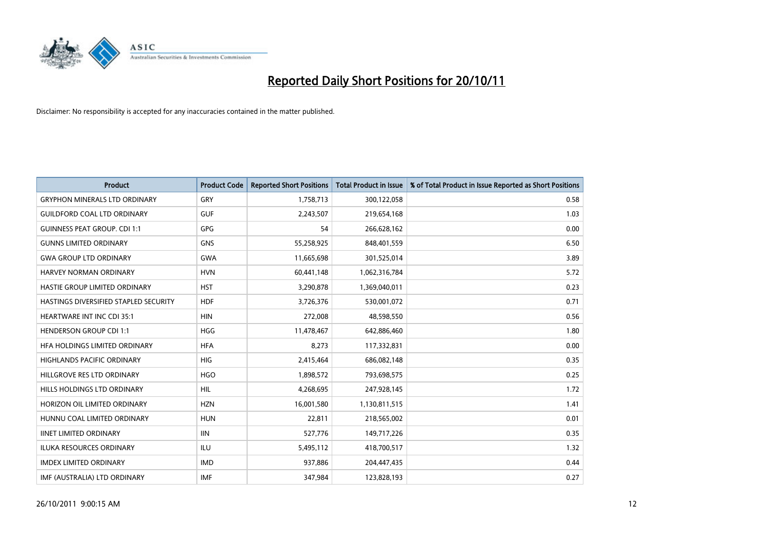

| <b>Product</b>                        | <b>Product Code</b> | <b>Reported Short Positions</b> | <b>Total Product in Issue</b> | % of Total Product in Issue Reported as Short Positions |
|---------------------------------------|---------------------|---------------------------------|-------------------------------|---------------------------------------------------------|
| <b>GRYPHON MINERALS LTD ORDINARY</b>  | GRY                 | 1,758,713                       | 300,122,058                   | 0.58                                                    |
| <b>GUILDFORD COAL LTD ORDINARY</b>    | <b>GUF</b>          | 2,243,507                       | 219,654,168                   | 1.03                                                    |
| <b>GUINNESS PEAT GROUP. CDI 1:1</b>   | <b>GPG</b>          | 54                              | 266,628,162                   | 0.00                                                    |
| <b>GUNNS LIMITED ORDINARY</b>         | <b>GNS</b>          | 55,258,925                      | 848,401,559                   | 6.50                                                    |
| <b>GWA GROUP LTD ORDINARY</b>         | <b>GWA</b>          | 11,665,698                      | 301,525,014                   | 3.89                                                    |
| <b>HARVEY NORMAN ORDINARY</b>         | <b>HVN</b>          | 60,441,148                      | 1,062,316,784                 | 5.72                                                    |
| HASTIE GROUP LIMITED ORDINARY         | <b>HST</b>          | 3,290,878                       | 1,369,040,011                 | 0.23                                                    |
| HASTINGS DIVERSIFIED STAPLED SECURITY | <b>HDF</b>          | 3,726,376                       | 530,001,072                   | 0.71                                                    |
| HEARTWARE INT INC CDI 35:1            | <b>HIN</b>          | 272,008                         | 48,598,550                    | 0.56                                                    |
| <b>HENDERSON GROUP CDI 1:1</b>        | <b>HGG</b>          | 11,478,467                      | 642,886,460                   | 1.80                                                    |
| HFA HOLDINGS LIMITED ORDINARY         | <b>HFA</b>          | 8,273                           | 117,332,831                   | 0.00                                                    |
| <b>HIGHLANDS PACIFIC ORDINARY</b>     | <b>HIG</b>          | 2,415,464                       | 686,082,148                   | 0.35                                                    |
| HILLGROVE RES LTD ORDINARY            | <b>HGO</b>          | 1,898,572                       | 793,698,575                   | 0.25                                                    |
| HILLS HOLDINGS LTD ORDINARY           | <b>HIL</b>          | 4,268,695                       | 247,928,145                   | 1.72                                                    |
| HORIZON OIL LIMITED ORDINARY          | <b>HZN</b>          | 16,001,580                      | 1,130,811,515                 | 1.41                                                    |
| HUNNU COAL LIMITED ORDINARY           | <b>HUN</b>          | 22,811                          | 218,565,002                   | 0.01                                                    |
| <b>IINET LIMITED ORDINARY</b>         | <b>IIN</b>          | 527,776                         | 149,717,226                   | 0.35                                                    |
| ILUKA RESOURCES ORDINARY              | ILU                 | 5,495,112                       | 418,700,517                   | 1.32                                                    |
| <b>IMDEX LIMITED ORDINARY</b>         | <b>IMD</b>          | 937,886                         | 204,447,435                   | 0.44                                                    |
| IMF (AUSTRALIA) LTD ORDINARY          | <b>IMF</b>          | 347.984                         | 123,828,193                   | 0.27                                                    |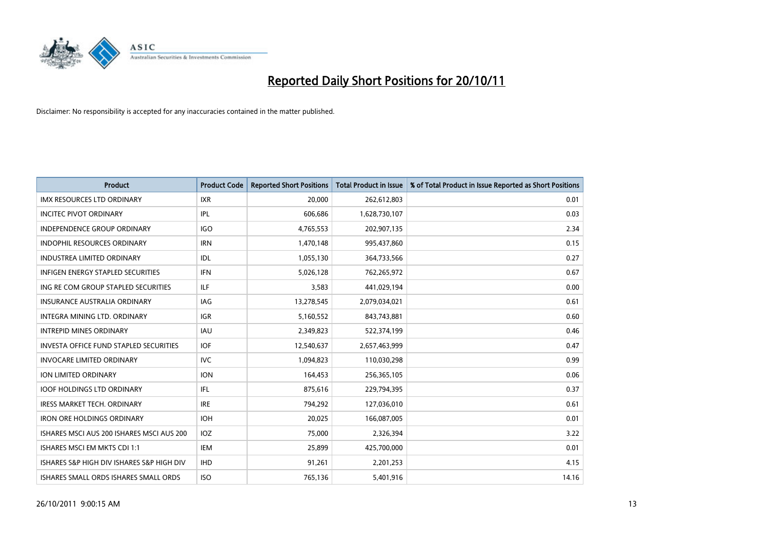

| <b>Product</b>                                | <b>Product Code</b> | <b>Reported Short Positions</b> | <b>Total Product in Issue</b> | % of Total Product in Issue Reported as Short Positions |
|-----------------------------------------------|---------------------|---------------------------------|-------------------------------|---------------------------------------------------------|
| <b>IMX RESOURCES LTD ORDINARY</b>             | <b>IXR</b>          | 20.000                          | 262,612,803                   | 0.01                                                    |
| <b>INCITEC PIVOT ORDINARY</b>                 | IPL                 | 606,686                         | 1,628,730,107                 | 0.03                                                    |
| <b>INDEPENDENCE GROUP ORDINARY</b>            | <b>IGO</b>          | 4,765,553                       | 202,907,135                   | 2.34                                                    |
| INDOPHIL RESOURCES ORDINARY                   | <b>IRN</b>          | 1,470,148                       | 995,437,860                   | 0.15                                                    |
| <b>INDUSTREA LIMITED ORDINARY</b>             | IDL                 | 1,055,130                       | 364,733,566                   | 0.27                                                    |
| <b>INFIGEN ENERGY STAPLED SECURITIES</b>      | <b>IFN</b>          | 5,026,128                       | 762,265,972                   | 0.67                                                    |
| ING RE COM GROUP STAPLED SECURITIES           | ILF.                | 3,583                           | 441,029,194                   | 0.00                                                    |
| <b>INSURANCE AUSTRALIA ORDINARY</b>           | IAG                 | 13,278,545                      | 2,079,034,021                 | 0.61                                                    |
| INTEGRA MINING LTD. ORDINARY                  | <b>IGR</b>          | 5,160,552                       | 843,743,881                   | 0.60                                                    |
| <b>INTREPID MINES ORDINARY</b>                | <b>IAU</b>          | 2,349,823                       | 522,374,199                   | 0.46                                                    |
| <b>INVESTA OFFICE FUND STAPLED SECURITIES</b> | <b>IOF</b>          | 12,540,637                      | 2,657,463,999                 | 0.47                                                    |
| <b>INVOCARE LIMITED ORDINARY</b>              | <b>IVC</b>          | 1,094,823                       | 110,030,298                   | 0.99                                                    |
| ION LIMITED ORDINARY                          | <b>ION</b>          | 164,453                         | 256,365,105                   | 0.06                                                    |
| <b>IOOF HOLDINGS LTD ORDINARY</b>             | IFL.                | 875,616                         | 229,794,395                   | 0.37                                                    |
| <b>IRESS MARKET TECH. ORDINARY</b>            | <b>IRE</b>          | 794,292                         | 127,036,010                   | 0.61                                                    |
| <b>IRON ORE HOLDINGS ORDINARY</b>             | <b>IOH</b>          | 20,025                          | 166,087,005                   | 0.01                                                    |
| ISHARES MSCI AUS 200 ISHARES MSCI AUS 200     | IOZ                 | 75,000                          | 2,326,394                     | 3.22                                                    |
| ISHARES MSCI EM MKTS CDI 1:1                  | IEM                 | 25,899                          | 425,700,000                   | 0.01                                                    |
| ISHARES S&P HIGH DIV ISHARES S&P HIGH DIV     | <b>IHD</b>          | 91,261                          | 2,201,253                     | 4.15                                                    |
| ISHARES SMALL ORDS ISHARES SMALL ORDS         | <b>ISO</b>          | 765,136                         | 5,401,916                     | 14.16                                                   |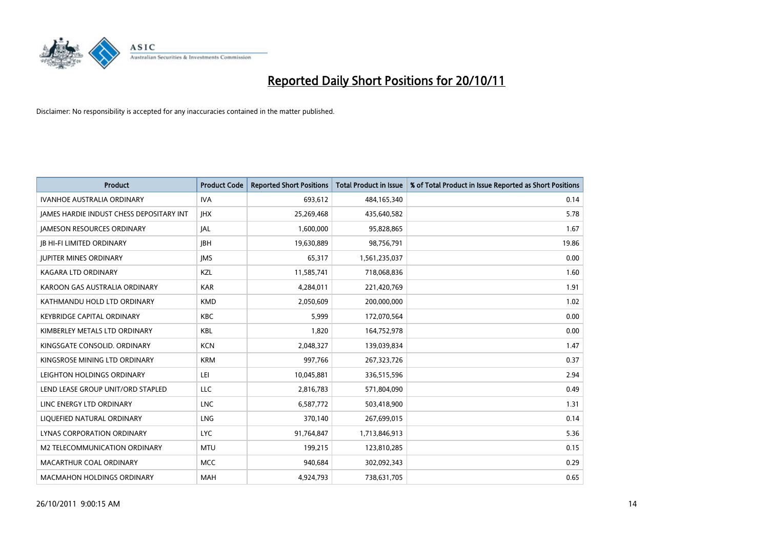

| <b>Product</b>                                  | <b>Product Code</b> | <b>Reported Short Positions</b> | <b>Total Product in Issue</b> | % of Total Product in Issue Reported as Short Positions |
|-------------------------------------------------|---------------------|---------------------------------|-------------------------------|---------------------------------------------------------|
| <b>IVANHOE AUSTRALIA ORDINARY</b>               | <b>IVA</b>          | 693,612                         | 484,165,340                   | 0.14                                                    |
| <b>JAMES HARDIE INDUST CHESS DEPOSITARY INT</b> | <b>IHX</b>          | 25,269,468                      | 435,640,582                   | 5.78                                                    |
| <b>JAMESON RESOURCES ORDINARY</b>               | <b>JAL</b>          | 1,600,000                       | 95,828,865                    | 1.67                                                    |
| <b>IB HI-FI LIMITED ORDINARY</b>                | <b>IBH</b>          | 19,630,889                      | 98,756,791                    | 19.86                                                   |
| <b>IUPITER MINES ORDINARY</b>                   | <b>IMS</b>          | 65,317                          | 1,561,235,037                 | 0.00                                                    |
| <b>KAGARA LTD ORDINARY</b>                      | KZL                 | 11,585,741                      | 718,068,836                   | 1.60                                                    |
| KAROON GAS AUSTRALIA ORDINARY                   | <b>KAR</b>          | 4,284,011                       | 221,420,769                   | 1.91                                                    |
| KATHMANDU HOLD LTD ORDINARY                     | <b>KMD</b>          | 2,050,609                       | 200,000,000                   | 1.02                                                    |
| <b>KEYBRIDGE CAPITAL ORDINARY</b>               | <b>KBC</b>          | 5,999                           | 172,070,564                   | 0.00                                                    |
| KIMBERLEY METALS LTD ORDINARY                   | <b>KBL</b>          | 1,820                           | 164,752,978                   | 0.00                                                    |
| KINGSGATE CONSOLID. ORDINARY                    | <b>KCN</b>          | 2,048,327                       | 139,039,834                   | 1.47                                                    |
| KINGSROSE MINING LTD ORDINARY                   | <b>KRM</b>          | 997,766                         | 267,323,726                   | 0.37                                                    |
| LEIGHTON HOLDINGS ORDINARY                      | LEI                 | 10,045,881                      | 336,515,596                   | 2.94                                                    |
| LEND LEASE GROUP UNIT/ORD STAPLED               | <b>LLC</b>          | 2,816,783                       | 571,804,090                   | 0.49                                                    |
| LINC ENERGY LTD ORDINARY                        | <b>LNC</b>          | 6,587,772                       | 503,418,900                   | 1.31                                                    |
| LIQUEFIED NATURAL ORDINARY                      | LNG                 | 370,140                         | 267,699,015                   | 0.14                                                    |
| <b>LYNAS CORPORATION ORDINARY</b>               | <b>LYC</b>          | 91,764,847                      | 1,713,846,913                 | 5.36                                                    |
| M2 TELECOMMUNICATION ORDINARY                   | <b>MTU</b>          | 199,215                         | 123,810,285                   | 0.15                                                    |
| MACARTHUR COAL ORDINARY                         | <b>MCC</b>          | 940,684                         | 302,092,343                   | 0.29                                                    |
| <b>MACMAHON HOLDINGS ORDINARY</b>               | <b>MAH</b>          | 4,924,793                       | 738,631,705                   | 0.65                                                    |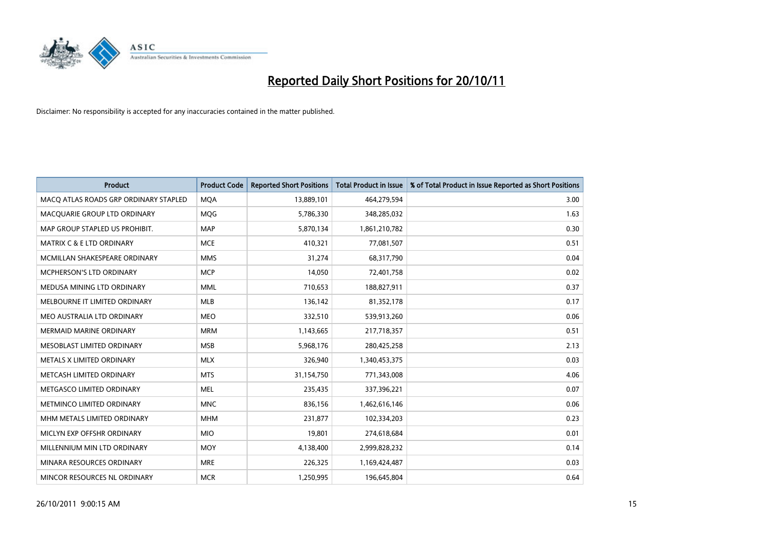

| <b>Product</b>                        | <b>Product Code</b> | <b>Reported Short Positions</b> | <b>Total Product in Issue</b> | % of Total Product in Issue Reported as Short Positions |
|---------------------------------------|---------------------|---------------------------------|-------------------------------|---------------------------------------------------------|
| MACO ATLAS ROADS GRP ORDINARY STAPLED | <b>MOA</b>          | 13,889,101                      | 464,279,594                   | 3.00                                                    |
| MACQUARIE GROUP LTD ORDINARY          | <b>MOG</b>          | 5,786,330                       | 348,285,032                   | 1.63                                                    |
| MAP GROUP STAPLED US PROHIBIT.        | <b>MAP</b>          | 5,870,134                       | 1,861,210,782                 | 0.30                                                    |
| MATRIX C & E LTD ORDINARY             | <b>MCE</b>          | 410,321                         | 77,081,507                    | 0.51                                                    |
| MCMILLAN SHAKESPEARE ORDINARY         | <b>MMS</b>          | 31,274                          | 68,317,790                    | 0.04                                                    |
| MCPHERSON'S LTD ORDINARY              | <b>MCP</b>          | 14,050                          | 72,401,758                    | 0.02                                                    |
| MEDUSA MINING LTD ORDINARY            | <b>MML</b>          | 710,653                         | 188,827,911                   | 0.37                                                    |
| MELBOURNE IT LIMITED ORDINARY         | <b>MLB</b>          | 136,142                         | 81,352,178                    | 0.17                                                    |
| MEO AUSTRALIA LTD ORDINARY            | <b>MEO</b>          | 332,510                         | 539,913,260                   | 0.06                                                    |
| <b>MERMAID MARINE ORDINARY</b>        | <b>MRM</b>          | 1,143,665                       | 217,718,357                   | 0.51                                                    |
| MESOBLAST LIMITED ORDINARY            | <b>MSB</b>          | 5,968,176                       | 280,425,258                   | 2.13                                                    |
| METALS X LIMITED ORDINARY             | <b>MLX</b>          | 326,940                         | 1,340,453,375                 | 0.03                                                    |
| METCASH LIMITED ORDINARY              | <b>MTS</b>          | 31,154,750                      | 771,343,008                   | 4.06                                                    |
| METGASCO LIMITED ORDINARY             | <b>MEL</b>          | 235,435                         | 337,396,221                   | 0.07                                                    |
| METMINCO LIMITED ORDINARY             | <b>MNC</b>          | 836,156                         | 1,462,616,146                 | 0.06                                                    |
| MHM METALS LIMITED ORDINARY           | <b>MHM</b>          | 231,877                         | 102,334,203                   | 0.23                                                    |
| MICLYN EXP OFFSHR ORDINARY            | <b>MIO</b>          | 19,801                          | 274,618,684                   | 0.01                                                    |
| MILLENNIUM MIN LTD ORDINARY           | <b>MOY</b>          | 4,138,400                       | 2,999,828,232                 | 0.14                                                    |
| MINARA RESOURCES ORDINARY             | <b>MRE</b>          | 226,325                         | 1,169,424,487                 | 0.03                                                    |
| MINCOR RESOURCES NL ORDINARY          | <b>MCR</b>          | 1,250,995                       | 196,645,804                   | 0.64                                                    |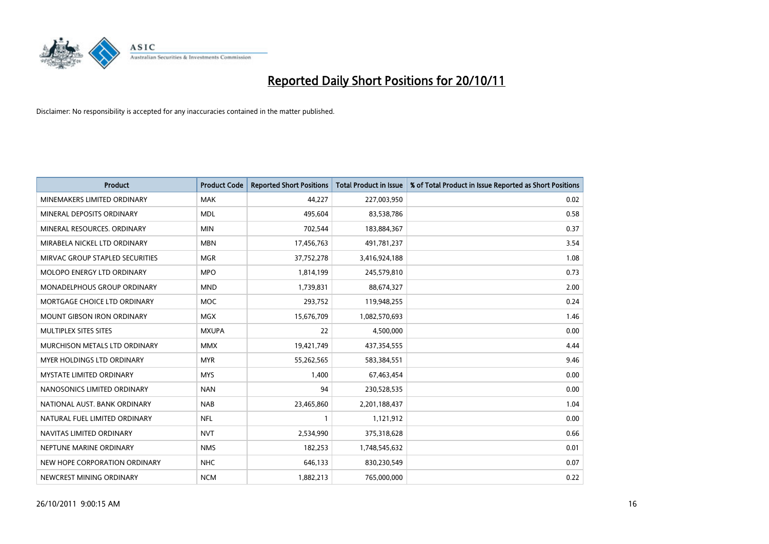

| <b>Product</b>                    | <b>Product Code</b> | <b>Reported Short Positions</b> | <b>Total Product in Issue</b> | % of Total Product in Issue Reported as Short Positions |
|-----------------------------------|---------------------|---------------------------------|-------------------------------|---------------------------------------------------------|
| MINEMAKERS LIMITED ORDINARY       | <b>MAK</b>          | 44,227                          | 227,003,950                   | 0.02                                                    |
| MINERAL DEPOSITS ORDINARY         | <b>MDL</b>          | 495,604                         | 83,538,786                    | 0.58                                                    |
| MINERAL RESOURCES, ORDINARY       | <b>MIN</b>          | 702,544                         | 183,884,367                   | 0.37                                                    |
| MIRABELA NICKEL LTD ORDINARY      | <b>MBN</b>          | 17,456,763                      | 491,781,237                   | 3.54                                                    |
| MIRVAC GROUP STAPLED SECURITIES   | <b>MGR</b>          | 37,752,278                      | 3,416,924,188                 | 1.08                                                    |
| <b>MOLOPO ENERGY LTD ORDINARY</b> | <b>MPO</b>          | 1,814,199                       | 245,579,810                   | 0.73                                                    |
| MONADELPHOUS GROUP ORDINARY       | <b>MND</b>          | 1,739,831                       | 88,674,327                    | 2.00                                                    |
| MORTGAGE CHOICE LTD ORDINARY      | <b>MOC</b>          | 293,752                         | 119,948,255                   | 0.24                                                    |
| <b>MOUNT GIBSON IRON ORDINARY</b> | <b>MGX</b>          | 15,676,709                      | 1,082,570,693                 | 1.46                                                    |
| MULTIPLEX SITES SITES             | <b>MXUPA</b>        | 22                              | 4,500,000                     | 0.00                                                    |
| MURCHISON METALS LTD ORDINARY     | <b>MMX</b>          | 19,421,749                      | 437,354,555                   | 4.44                                                    |
| MYER HOLDINGS LTD ORDINARY        | <b>MYR</b>          | 55,262,565                      | 583,384,551                   | 9.46                                                    |
| <b>MYSTATE LIMITED ORDINARY</b>   | <b>MYS</b>          | 1,400                           | 67,463,454                    | 0.00                                                    |
| NANOSONICS LIMITED ORDINARY       | <b>NAN</b>          | 94                              | 230,528,535                   | 0.00                                                    |
| NATIONAL AUST. BANK ORDINARY      | <b>NAB</b>          | 23,465,860                      | 2,201,188,437                 | 1.04                                                    |
| NATURAL FUEL LIMITED ORDINARY     | <b>NFL</b>          |                                 | 1,121,912                     | 0.00                                                    |
| NAVITAS LIMITED ORDINARY          | <b>NVT</b>          | 2,534,990                       | 375,318,628                   | 0.66                                                    |
| NEPTUNE MARINE ORDINARY           | <b>NMS</b>          | 182,253                         | 1,748,545,632                 | 0.01                                                    |
| NEW HOPE CORPORATION ORDINARY     | <b>NHC</b>          | 646,133                         | 830,230,549                   | 0.07                                                    |
| NEWCREST MINING ORDINARY          | <b>NCM</b>          | 1,882,213                       | 765,000,000                   | 0.22                                                    |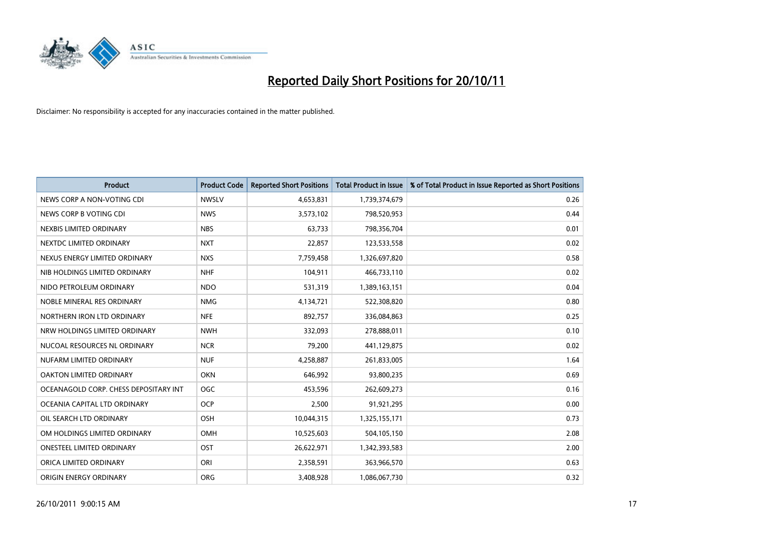

| <b>Product</b>                        | <b>Product Code</b> | <b>Reported Short Positions</b> | <b>Total Product in Issue</b> | % of Total Product in Issue Reported as Short Positions |
|---------------------------------------|---------------------|---------------------------------|-------------------------------|---------------------------------------------------------|
| NEWS CORP A NON-VOTING CDI            | <b>NWSLV</b>        | 4,653,831                       | 1,739,374,679                 | 0.26                                                    |
| NEWS CORP B VOTING CDI                | <b>NWS</b>          | 3,573,102                       | 798,520,953                   | 0.44                                                    |
| NEXBIS LIMITED ORDINARY               | <b>NBS</b>          | 63,733                          | 798,356,704                   | 0.01                                                    |
| NEXTDC LIMITED ORDINARY               | <b>NXT</b>          | 22,857                          | 123,533,558                   | 0.02                                                    |
| NEXUS ENERGY LIMITED ORDINARY         | <b>NXS</b>          | 7,759,458                       | 1,326,697,820                 | 0.58                                                    |
| NIB HOLDINGS LIMITED ORDINARY         | <b>NHF</b>          | 104,911                         | 466,733,110                   | 0.02                                                    |
| NIDO PETROLEUM ORDINARY               | <b>NDO</b>          | 531,319                         | 1,389,163,151                 | 0.04                                                    |
| NOBLE MINERAL RES ORDINARY            | <b>NMG</b>          | 4,134,721                       | 522,308,820                   | 0.80                                                    |
| NORTHERN IRON LTD ORDINARY            | <b>NFE</b>          | 892,757                         | 336,084,863                   | 0.25                                                    |
| NRW HOLDINGS LIMITED ORDINARY         | <b>NWH</b>          | 332,093                         | 278,888,011                   | 0.10                                                    |
| NUCOAL RESOURCES NL ORDINARY          | <b>NCR</b>          | 79,200                          | 441,129,875                   | 0.02                                                    |
| NUFARM LIMITED ORDINARY               | <b>NUF</b>          | 4,258,887                       | 261,833,005                   | 1.64                                                    |
| OAKTON LIMITED ORDINARY               | <b>OKN</b>          | 646,992                         | 93,800,235                    | 0.69                                                    |
| OCEANAGOLD CORP. CHESS DEPOSITARY INT | <b>OGC</b>          | 453,596                         | 262,609,273                   | 0.16                                                    |
| OCEANIA CAPITAL LTD ORDINARY          | <b>OCP</b>          | 2,500                           | 91,921,295                    | 0.00                                                    |
| OIL SEARCH LTD ORDINARY               | OSH                 | 10,044,315                      | 1,325,155,171                 | 0.73                                                    |
| OM HOLDINGS LIMITED ORDINARY          | OMH                 | 10,525,603                      | 504,105,150                   | 2.08                                                    |
| ONESTEEL LIMITED ORDINARY             | OST                 | 26,622,971                      | 1,342,393,583                 | 2.00                                                    |
| ORICA LIMITED ORDINARY                | ORI                 | 2,358,591                       | 363,966,570                   | 0.63                                                    |
| ORIGIN ENERGY ORDINARY                | <b>ORG</b>          | 3,408,928                       | 1,086,067,730                 | 0.32                                                    |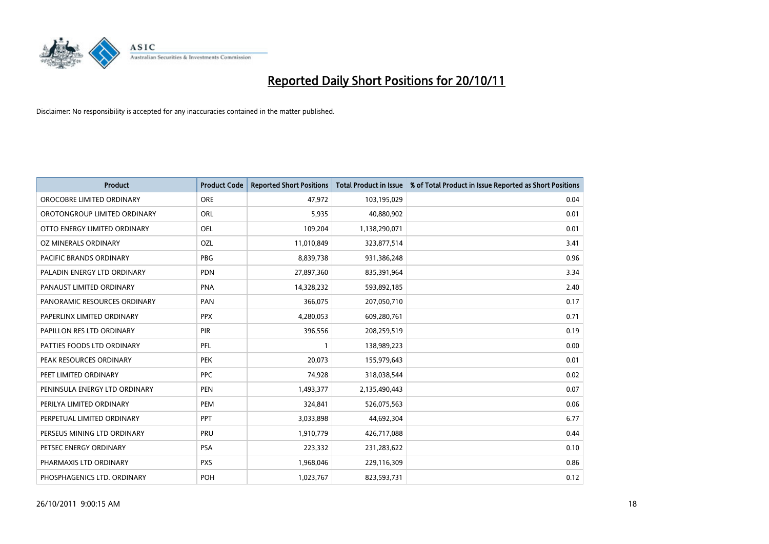

| <b>Product</b>                | <b>Product Code</b> | <b>Reported Short Positions</b> | <b>Total Product in Issue</b> | % of Total Product in Issue Reported as Short Positions |
|-------------------------------|---------------------|---------------------------------|-------------------------------|---------------------------------------------------------|
| OROCOBRE LIMITED ORDINARY     | <b>ORE</b>          | 47,972                          | 103,195,029                   | 0.04                                                    |
| OROTONGROUP LIMITED ORDINARY  | ORL                 | 5,935                           | 40,880,902                    | 0.01                                                    |
| OTTO ENERGY LIMITED ORDINARY  | <b>OEL</b>          | 109,204                         | 1,138,290,071                 | 0.01                                                    |
| OZ MINERALS ORDINARY          | OZL                 | 11,010,849                      | 323,877,514                   | 3.41                                                    |
| PACIFIC BRANDS ORDINARY       | <b>PBG</b>          | 8,839,738                       | 931,386,248                   | 0.96                                                    |
| PALADIN ENERGY LTD ORDINARY   | <b>PDN</b>          | 27,897,360                      | 835,391,964                   | 3.34                                                    |
| PANAUST LIMITED ORDINARY      | <b>PNA</b>          | 14,328,232                      | 593,892,185                   | 2.40                                                    |
| PANORAMIC RESOURCES ORDINARY  | PAN                 | 366,075                         | 207,050,710                   | 0.17                                                    |
| PAPERLINX LIMITED ORDINARY    | <b>PPX</b>          | 4,280,053                       | 609,280,761                   | 0.71                                                    |
| PAPILLON RES LTD ORDINARY     | <b>PIR</b>          | 396,556                         | 208,259,519                   | 0.19                                                    |
| PATTIES FOODS LTD ORDINARY    | PFL                 |                                 | 138,989,223                   | 0.00                                                    |
| PEAK RESOURCES ORDINARY       | <b>PEK</b>          | 20,073                          | 155,979,643                   | 0.01                                                    |
| PEET LIMITED ORDINARY         | <b>PPC</b>          | 74,928                          | 318,038,544                   | 0.02                                                    |
| PENINSULA ENERGY LTD ORDINARY | <b>PEN</b>          | 1,493,377                       | 2,135,490,443                 | 0.07                                                    |
| PERILYA LIMITED ORDINARY      | PEM                 | 324,841                         | 526,075,563                   | 0.06                                                    |
| PERPETUAL LIMITED ORDINARY    | <b>PPT</b>          | 3,033,898                       | 44,692,304                    | 6.77                                                    |
| PERSEUS MINING LTD ORDINARY   | PRU                 | 1,910,779                       | 426,717,088                   | 0.44                                                    |
| PETSEC ENERGY ORDINARY        | <b>PSA</b>          | 223,332                         | 231,283,622                   | 0.10                                                    |
| PHARMAXIS LTD ORDINARY        | <b>PXS</b>          | 1,968,046                       | 229,116,309                   | 0.86                                                    |
| PHOSPHAGENICS LTD. ORDINARY   | POH                 | 1,023,767                       | 823,593,731                   | 0.12                                                    |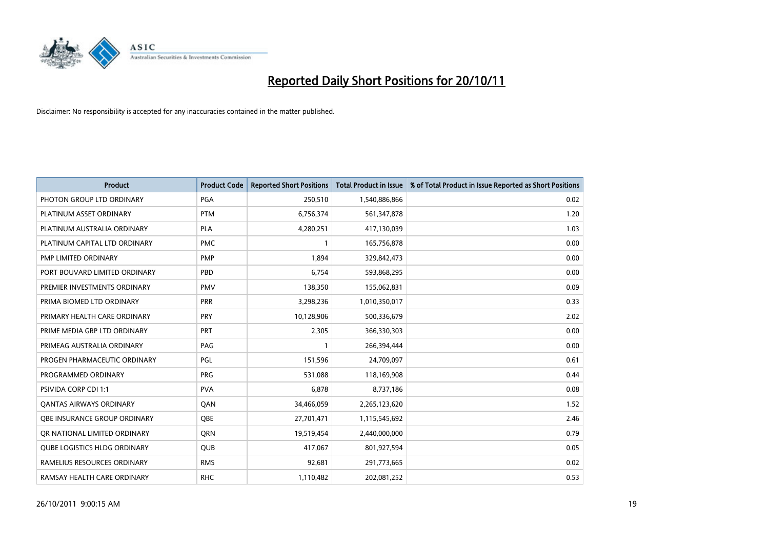

| <b>Product</b>                      | <b>Product Code</b> | <b>Reported Short Positions</b> | <b>Total Product in Issue</b> | % of Total Product in Issue Reported as Short Positions |
|-------------------------------------|---------------------|---------------------------------|-------------------------------|---------------------------------------------------------|
| PHOTON GROUP LTD ORDINARY           | PGA                 | 250,510                         | 1,540,886,866                 | 0.02                                                    |
| PLATINUM ASSET ORDINARY             | <b>PTM</b>          | 6,756,374                       | 561,347,878                   | 1.20                                                    |
| PLATINUM AUSTRALIA ORDINARY         | <b>PLA</b>          | 4,280,251                       | 417,130,039                   | 1.03                                                    |
| PLATINUM CAPITAL LTD ORDINARY       | <b>PMC</b>          |                                 | 165,756,878                   | 0.00                                                    |
| PMP LIMITED ORDINARY                | <b>PMP</b>          | 1,894                           | 329,842,473                   | 0.00                                                    |
| PORT BOUVARD LIMITED ORDINARY       | PBD                 | 6,754                           | 593,868,295                   | 0.00                                                    |
| PREMIER INVESTMENTS ORDINARY        | <b>PMV</b>          | 138,350                         | 155,062,831                   | 0.09                                                    |
| PRIMA BIOMED LTD ORDINARY           | <b>PRR</b>          | 3,298,236                       | 1,010,350,017                 | 0.33                                                    |
| PRIMARY HEALTH CARE ORDINARY        | <b>PRY</b>          | 10,128,906                      | 500,336,679                   | 2.02                                                    |
| PRIME MEDIA GRP LTD ORDINARY        | <b>PRT</b>          | 2,305                           | 366,330,303                   | 0.00                                                    |
| PRIMEAG AUSTRALIA ORDINARY          | PAG                 |                                 | 266,394,444                   | 0.00                                                    |
| PROGEN PHARMACEUTIC ORDINARY        | PGL                 | 151,596                         | 24,709,097                    | 0.61                                                    |
| PROGRAMMED ORDINARY                 | PRG                 | 531,088                         | 118,169,908                   | 0.44                                                    |
| <b>PSIVIDA CORP CDI 1:1</b>         | <b>PVA</b>          | 6,878                           | 8,737,186                     | 0.08                                                    |
| <b>QANTAS AIRWAYS ORDINARY</b>      | QAN                 | 34,466,059                      | 2,265,123,620                 | 1.52                                                    |
| <b>OBE INSURANCE GROUP ORDINARY</b> | <b>OBE</b>          | 27,701,471                      | 1,115,545,692                 | 2.46                                                    |
| OR NATIONAL LIMITED ORDINARY        | <b>ORN</b>          | 19,519,454                      | 2,440,000,000                 | 0.79                                                    |
| <b>QUBE LOGISTICS HLDG ORDINARY</b> | QUB                 | 417,067                         | 801,927,594                   | 0.05                                                    |
| RAMELIUS RESOURCES ORDINARY         | <b>RMS</b>          | 92,681                          | 291,773,665                   | 0.02                                                    |
| RAMSAY HEALTH CARE ORDINARY         | <b>RHC</b>          | 1,110,482                       | 202,081,252                   | 0.53                                                    |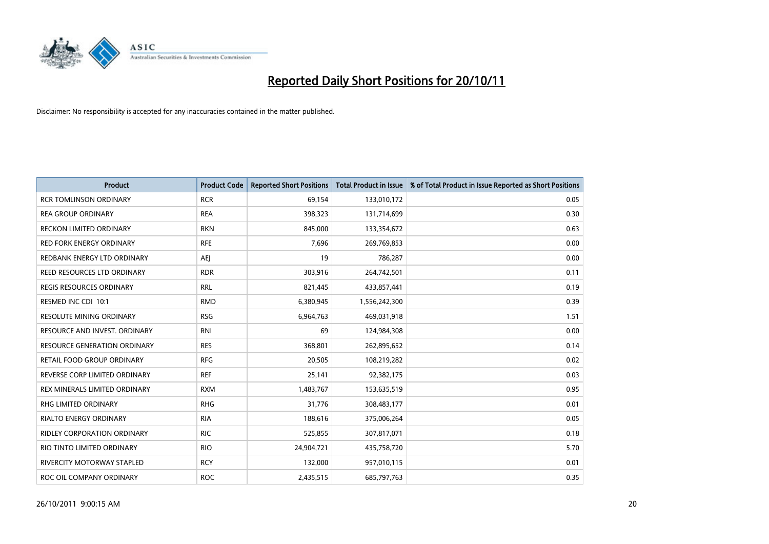

| <b>Product</b>                    | <b>Product Code</b> | <b>Reported Short Positions</b> | <b>Total Product in Issue</b> | % of Total Product in Issue Reported as Short Positions |
|-----------------------------------|---------------------|---------------------------------|-------------------------------|---------------------------------------------------------|
| <b>RCR TOMLINSON ORDINARY</b>     | <b>RCR</b>          | 69,154                          | 133,010,172                   | 0.05                                                    |
| <b>REA GROUP ORDINARY</b>         | <b>REA</b>          | 398,323                         | 131,714,699                   | 0.30                                                    |
| <b>RECKON LIMITED ORDINARY</b>    | <b>RKN</b>          | 845,000                         | 133,354,672                   | 0.63                                                    |
| RED FORK ENERGY ORDINARY          | <b>RFE</b>          | 7,696                           | 269,769,853                   | 0.00                                                    |
| REDBANK ENERGY LTD ORDINARY       | AEI                 | 19                              | 786,287                       | 0.00                                                    |
| REED RESOURCES LTD ORDINARY       | <b>RDR</b>          | 303,916                         | 264,742,501                   | 0.11                                                    |
| REGIS RESOURCES ORDINARY          | <b>RRL</b>          | 821,445                         | 433,857,441                   | 0.19                                                    |
| RESMED INC CDI 10:1               | <b>RMD</b>          | 6,380,945                       | 1,556,242,300                 | 0.39                                                    |
| <b>RESOLUTE MINING ORDINARY</b>   | <b>RSG</b>          | 6,964,763                       | 469,031,918                   | 1.51                                                    |
| RESOURCE AND INVEST. ORDINARY     | <b>RNI</b>          | 69                              | 124,984,308                   | 0.00                                                    |
| RESOURCE GENERATION ORDINARY      | <b>RES</b>          | 368,801                         | 262,895,652                   | 0.14                                                    |
| RETAIL FOOD GROUP ORDINARY        | <b>RFG</b>          | 20,505                          | 108,219,282                   | 0.02                                                    |
| REVERSE CORP LIMITED ORDINARY     | <b>REF</b>          | 25,141                          | 92,382,175                    | 0.03                                                    |
| REX MINERALS LIMITED ORDINARY     | <b>RXM</b>          | 1,483,767                       | 153,635,519                   | 0.95                                                    |
| <b>RHG LIMITED ORDINARY</b>       | <b>RHG</b>          | 31,776                          | 308,483,177                   | 0.01                                                    |
| RIALTO ENERGY ORDINARY            | <b>RIA</b>          | 188,616                         | 375,006,264                   | 0.05                                                    |
| RIDLEY CORPORATION ORDINARY       | <b>RIC</b>          | 525,855                         | 307,817,071                   | 0.18                                                    |
| RIO TINTO LIMITED ORDINARY        | <b>RIO</b>          | 24,904,721                      | 435,758,720                   | 5.70                                                    |
| <b>RIVERCITY MOTORWAY STAPLED</b> | <b>RCY</b>          | 132,000                         | 957,010,115                   | 0.01                                                    |
| ROC OIL COMPANY ORDINARY          | <b>ROC</b>          | 2,435,515                       | 685,797,763                   | 0.35                                                    |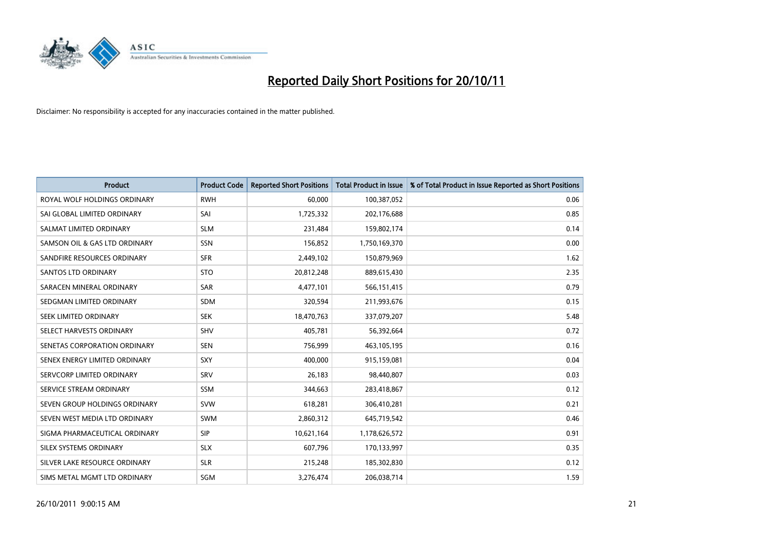

| <b>Product</b>                | <b>Product Code</b> | <b>Reported Short Positions</b> | <b>Total Product in Issue</b> | % of Total Product in Issue Reported as Short Positions |
|-------------------------------|---------------------|---------------------------------|-------------------------------|---------------------------------------------------------|
| ROYAL WOLF HOLDINGS ORDINARY  | <b>RWH</b>          | 60.000                          | 100,387,052                   | 0.06                                                    |
| SAI GLOBAL LIMITED ORDINARY   | SAI                 | 1,725,332                       | 202,176,688                   | 0.85                                                    |
| SALMAT LIMITED ORDINARY       | <b>SLM</b>          | 231,484                         | 159,802,174                   | 0.14                                                    |
| SAMSON OIL & GAS LTD ORDINARY | <b>SSN</b>          | 156,852                         | 1,750,169,370                 | 0.00                                                    |
| SANDFIRE RESOURCES ORDINARY   | <b>SFR</b>          | 2,449,102                       | 150,879,969                   | 1.62                                                    |
| <b>SANTOS LTD ORDINARY</b>    | <b>STO</b>          | 20,812,248                      | 889,615,430                   | 2.35                                                    |
| SARACEN MINERAL ORDINARY      | <b>SAR</b>          | 4,477,101                       | 566,151,415                   | 0.79                                                    |
| SEDGMAN LIMITED ORDINARY      | <b>SDM</b>          | 320,594                         | 211,993,676                   | 0.15                                                    |
| SEEK LIMITED ORDINARY         | <b>SEK</b>          | 18,470,763                      | 337,079,207                   | 5.48                                                    |
| SELECT HARVESTS ORDINARY      | SHV                 | 405,781                         | 56,392,664                    | 0.72                                                    |
| SENETAS CORPORATION ORDINARY  | <b>SEN</b>          | 756,999                         | 463,105,195                   | 0.16                                                    |
| SENEX ENERGY LIMITED ORDINARY | <b>SXY</b>          | 400,000                         | 915,159,081                   | 0.04                                                    |
| SERVCORP LIMITED ORDINARY     | SRV                 | 26,183                          | 98,440,807                    | 0.03                                                    |
| SERVICE STREAM ORDINARY       | SSM                 | 344,663                         | 283,418,867                   | 0.12                                                    |
| SEVEN GROUP HOLDINGS ORDINARY | <b>SVW</b>          | 618,281                         | 306,410,281                   | 0.21                                                    |
| SEVEN WEST MEDIA LTD ORDINARY | <b>SWM</b>          | 2,860,312                       | 645,719,542                   | 0.46                                                    |
| SIGMA PHARMACEUTICAL ORDINARY | <b>SIP</b>          | 10,621,164                      | 1,178,626,572                 | 0.91                                                    |
| SILEX SYSTEMS ORDINARY        | <b>SLX</b>          | 607,796                         | 170,133,997                   | 0.35                                                    |
| SILVER LAKE RESOURCE ORDINARY | <b>SLR</b>          | 215,248                         | 185,302,830                   | 0.12                                                    |
| SIMS METAL MGMT LTD ORDINARY  | SGM                 | 3,276,474                       | 206,038,714                   | 1.59                                                    |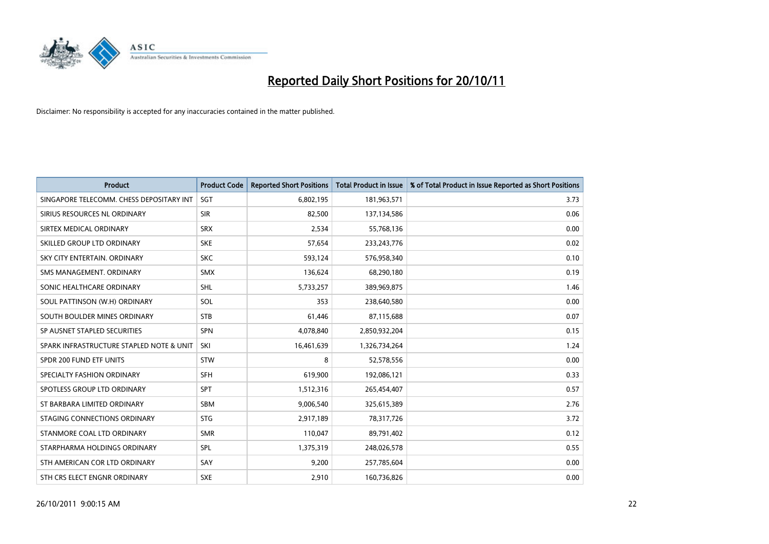

| <b>Product</b>                           | <b>Product Code</b> | <b>Reported Short Positions</b> | <b>Total Product in Issue</b> | % of Total Product in Issue Reported as Short Positions |
|------------------------------------------|---------------------|---------------------------------|-------------------------------|---------------------------------------------------------|
| SINGAPORE TELECOMM. CHESS DEPOSITARY INT | SGT                 | 6,802,195                       | 181,963,571                   | 3.73                                                    |
| SIRIUS RESOURCES NL ORDINARY             | <b>SIR</b>          | 82,500                          | 137,134,586                   | 0.06                                                    |
| SIRTEX MEDICAL ORDINARY                  | <b>SRX</b>          | 2,534                           | 55,768,136                    | 0.00                                                    |
| SKILLED GROUP LTD ORDINARY               | <b>SKE</b>          | 57,654                          | 233, 243, 776                 | 0.02                                                    |
| SKY CITY ENTERTAIN, ORDINARY             | <b>SKC</b>          | 593,124                         | 576,958,340                   | 0.10                                                    |
| SMS MANAGEMENT, ORDINARY                 | <b>SMX</b>          | 136,624                         | 68,290,180                    | 0.19                                                    |
| SONIC HEALTHCARE ORDINARY                | <b>SHL</b>          | 5,733,257                       | 389,969,875                   | 1.46                                                    |
| SOUL PATTINSON (W.H) ORDINARY            | SOL                 | 353                             | 238,640,580                   | 0.00                                                    |
| SOUTH BOULDER MINES ORDINARY             | <b>STB</b>          | 61,446                          | 87,115,688                    | 0.07                                                    |
| SP AUSNET STAPLED SECURITIES             | <b>SPN</b>          | 4,078,840                       | 2,850,932,204                 | 0.15                                                    |
| SPARK INFRASTRUCTURE STAPLED NOTE & UNIT | SKI                 | 16,461,639                      | 1,326,734,264                 | 1.24                                                    |
| SPDR 200 FUND ETF UNITS                  | <b>STW</b>          | 8                               | 52,578,556                    | 0.00                                                    |
| SPECIALTY FASHION ORDINARY               | <b>SFH</b>          | 619,900                         | 192,086,121                   | 0.33                                                    |
| SPOTLESS GROUP LTD ORDINARY              | <b>SPT</b>          | 1,512,316                       | 265,454,407                   | 0.57                                                    |
| ST BARBARA LIMITED ORDINARY              | <b>SBM</b>          | 9,006,540                       | 325,615,389                   | 2.76                                                    |
| STAGING CONNECTIONS ORDINARY             | <b>STG</b>          | 2,917,189                       | 78,317,726                    | 3.72                                                    |
| STANMORE COAL LTD ORDINARY               | <b>SMR</b>          | 110,047                         | 89,791,402                    | 0.12                                                    |
| STARPHARMA HOLDINGS ORDINARY             | <b>SPL</b>          | 1,375,319                       | 248,026,578                   | 0.55                                                    |
| STH AMERICAN COR LTD ORDINARY            | SAY                 | 9,200                           | 257,785,604                   | 0.00                                                    |
| STH CRS ELECT ENGNR ORDINARY             | <b>SXE</b>          | 2,910                           | 160,736,826                   | 0.00                                                    |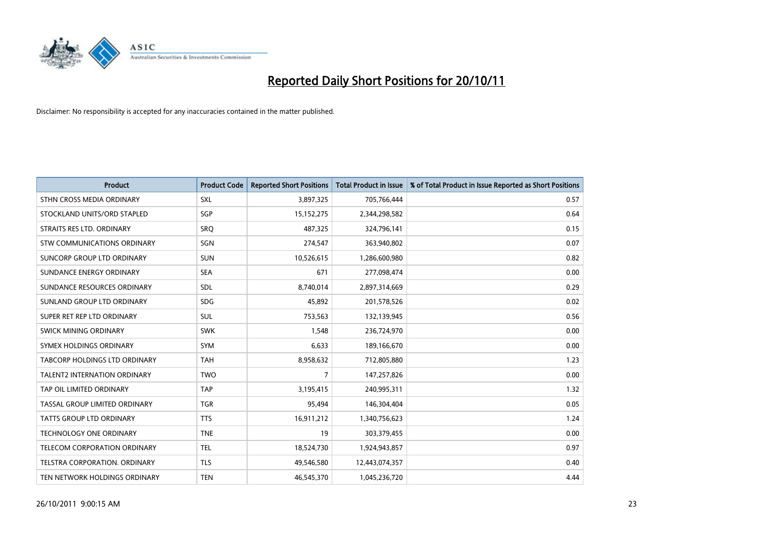

| <b>Product</b>                       | <b>Product Code</b> | <b>Reported Short Positions</b> | <b>Total Product in Issue</b> | % of Total Product in Issue Reported as Short Positions |
|--------------------------------------|---------------------|---------------------------------|-------------------------------|---------------------------------------------------------|
| STHN CROSS MEDIA ORDINARY            | <b>SXL</b>          | 3,897,325                       | 705,766,444                   | 0.57                                                    |
| STOCKLAND UNITS/ORD STAPLED          | SGP                 | 15,152,275                      | 2,344,298,582                 | 0.64                                                    |
| STRAITS RES LTD. ORDINARY            | SRO                 | 487,325                         | 324,796,141                   | 0.15                                                    |
| STW COMMUNICATIONS ORDINARY          | <b>SGN</b>          | 274,547                         | 363,940,802                   | 0.07                                                    |
| SUNCORP GROUP LTD ORDINARY           | <b>SUN</b>          | 10,526,615                      | 1,286,600,980                 | 0.82                                                    |
| SUNDANCE ENERGY ORDINARY             | <b>SEA</b>          | 671                             | 277,098,474                   | 0.00                                                    |
| SUNDANCE RESOURCES ORDINARY          | <b>SDL</b>          | 8,740,014                       | 2,897,314,669                 | 0.29                                                    |
| SUNLAND GROUP LTD ORDINARY           | <b>SDG</b>          | 45,892                          | 201,578,526                   | 0.02                                                    |
| SUPER RET REP LTD ORDINARY           | <b>SUL</b>          | 753,563                         | 132,139,945                   | 0.56                                                    |
| SWICK MINING ORDINARY                | <b>SWK</b>          | 1,548                           | 236,724,970                   | 0.00                                                    |
| SYMEX HOLDINGS ORDINARY              | <b>SYM</b>          | 6,633                           | 189,166,670                   | 0.00                                                    |
| <b>TABCORP HOLDINGS LTD ORDINARY</b> | <b>TAH</b>          | 8,958,632                       | 712,805,880                   | 1.23                                                    |
| TALENT2 INTERNATION ORDINARY         | <b>TWO</b>          | 7                               | 147,257,826                   | 0.00                                                    |
| TAP OIL LIMITED ORDINARY             | <b>TAP</b>          | 3,195,415                       | 240,995,311                   | 1.32                                                    |
| TASSAL GROUP LIMITED ORDINARY        | <b>TGR</b>          | 95,494                          | 146,304,404                   | 0.05                                                    |
| TATTS GROUP LTD ORDINARY             | <b>TTS</b>          | 16,911,212                      | 1,340,756,623                 | 1.24                                                    |
| TECHNOLOGY ONE ORDINARY              | <b>TNE</b>          | 19                              | 303,379,455                   | 0.00                                                    |
| TELECOM CORPORATION ORDINARY         | <b>TEL</b>          | 18,524,730                      | 1,924,943,857                 | 0.97                                                    |
| <b>TELSTRA CORPORATION, ORDINARY</b> | <b>TLS</b>          | 49,546,580                      | 12,443,074,357                | 0.40                                                    |
| TEN NETWORK HOLDINGS ORDINARY        | <b>TEN</b>          | 46,545,370                      | 1,045,236,720                 | 4.44                                                    |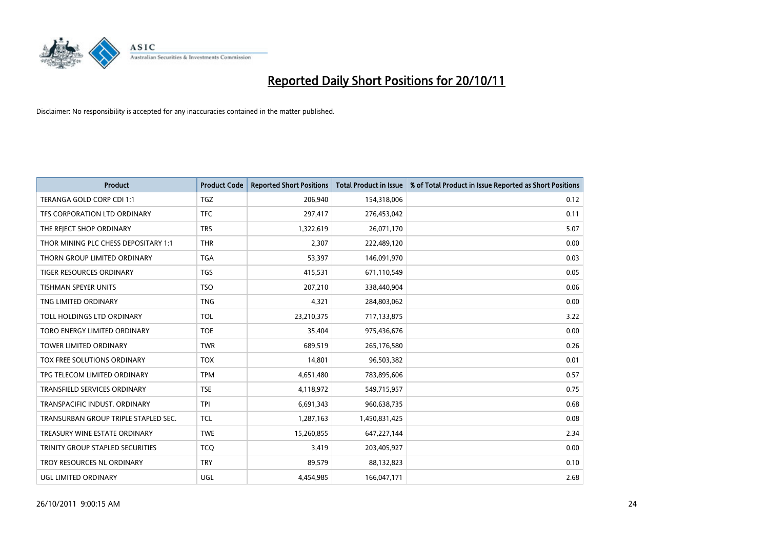

| <b>Product</b>                       | <b>Product Code</b> | <b>Reported Short Positions</b> | <b>Total Product in Issue</b> | % of Total Product in Issue Reported as Short Positions |
|--------------------------------------|---------------------|---------------------------------|-------------------------------|---------------------------------------------------------|
| TERANGA GOLD CORP CDI 1:1            | <b>TGZ</b>          | 206,940                         | 154,318,006                   | 0.12                                                    |
| TFS CORPORATION LTD ORDINARY         | <b>TFC</b>          | 297,417                         | 276,453,042                   | 0.11                                                    |
| THE REJECT SHOP ORDINARY             | <b>TRS</b>          | 1,322,619                       | 26,071,170                    | 5.07                                                    |
| THOR MINING PLC CHESS DEPOSITARY 1:1 | <b>THR</b>          | 2,307                           | 222,489,120                   | 0.00                                                    |
| THORN GROUP LIMITED ORDINARY         | <b>TGA</b>          | 53,397                          | 146,091,970                   | 0.03                                                    |
| <b>TIGER RESOURCES ORDINARY</b>      | <b>TGS</b>          | 415,531                         | 671,110,549                   | 0.05                                                    |
| <b>TISHMAN SPEYER UNITS</b>          | <b>TSO</b>          | 207,210                         | 338,440,904                   | 0.06                                                    |
| TNG LIMITED ORDINARY                 | <b>TNG</b>          | 4,321                           | 284,803,062                   | 0.00                                                    |
| TOLL HOLDINGS LTD ORDINARY           | <b>TOL</b>          | 23,210,375                      | 717,133,875                   | 3.22                                                    |
| TORO ENERGY LIMITED ORDINARY         | <b>TOE</b>          | 35,404                          | 975,436,676                   | 0.00                                                    |
| TOWER LIMITED ORDINARY               | <b>TWR</b>          | 689,519                         | 265,176,580                   | 0.26                                                    |
| TOX FREE SOLUTIONS ORDINARY          | <b>TOX</b>          | 14,801                          | 96,503,382                    | 0.01                                                    |
| TPG TELECOM LIMITED ORDINARY         | <b>TPM</b>          | 4,651,480                       | 783,895,606                   | 0.57                                                    |
| TRANSFIELD SERVICES ORDINARY         | <b>TSE</b>          | 4,118,972                       | 549,715,957                   | 0.75                                                    |
| TRANSPACIFIC INDUST, ORDINARY        | <b>TPI</b>          | 6,691,343                       | 960,638,735                   | 0.68                                                    |
| TRANSURBAN GROUP TRIPLE STAPLED SEC. | <b>TCL</b>          | 1,287,163                       | 1,450,831,425                 | 0.08                                                    |
| TREASURY WINE ESTATE ORDINARY        | <b>TWE</b>          | 15,260,855                      | 647,227,144                   | 2.34                                                    |
| TRINITY GROUP STAPLED SECURITIES     | <b>TCQ</b>          | 3,419                           | 203,405,927                   | 0.00                                                    |
| TROY RESOURCES NL ORDINARY           | <b>TRY</b>          | 89,579                          | 88,132,823                    | 0.10                                                    |
| UGL LIMITED ORDINARY                 | UGL                 | 4,454,985                       | 166,047,171                   | 2.68                                                    |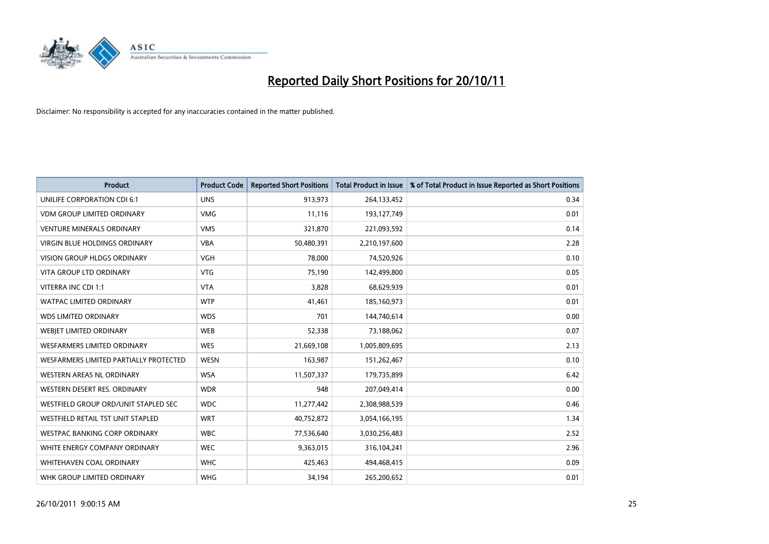

| <b>Product</b>                         | <b>Product Code</b> | <b>Reported Short Positions</b> | <b>Total Product in Issue</b> | % of Total Product in Issue Reported as Short Positions |
|----------------------------------------|---------------------|---------------------------------|-------------------------------|---------------------------------------------------------|
| UNILIFE CORPORATION CDI 6:1            | <b>UNS</b>          | 913,973                         | 264,133,452                   | 0.34                                                    |
| <b>VDM GROUP LIMITED ORDINARY</b>      | <b>VMG</b>          | 11,116                          | 193,127,749                   | 0.01                                                    |
| <b>VENTURE MINERALS ORDINARY</b>       | <b>VMS</b>          | 321,870                         | 221,093,592                   | 0.14                                                    |
| VIRGIN BLUE HOLDINGS ORDINARY          | <b>VBA</b>          | 50,480,391                      | 2,210,197,600                 | 2.28                                                    |
| <b>VISION GROUP HLDGS ORDINARY</b>     | <b>VGH</b>          | 78,000                          | 74,520,926                    | 0.10                                                    |
| <b>VITA GROUP LTD ORDINARY</b>         | <b>VTG</b>          | 75,190                          | 142,499,800                   | 0.05                                                    |
| VITERRA INC CDI 1:1                    | <b>VTA</b>          | 3,828                           | 68,629,939                    | 0.01                                                    |
| WATPAC LIMITED ORDINARY                | <b>WTP</b>          | 41,461                          | 185,160,973                   | 0.01                                                    |
| <b>WDS LIMITED ORDINARY</b>            | <b>WDS</b>          | 701                             | 144,740,614                   | 0.00                                                    |
| WEBIET LIMITED ORDINARY                | <b>WEB</b>          | 52,338                          | 73,188,062                    | 0.07                                                    |
| WESFARMERS LIMITED ORDINARY            | <b>WES</b>          | 21,669,108                      | 1,005,809,695                 | 2.13                                                    |
| WESFARMERS LIMITED PARTIALLY PROTECTED | <b>WESN</b>         | 163,987                         | 151,262,467                   | 0.10                                                    |
| WESTERN AREAS NL ORDINARY              | <b>WSA</b>          | 11,507,337                      | 179,735,899                   | 6.42                                                    |
| WESTERN DESERT RES. ORDINARY           | <b>WDR</b>          | 948                             | 207,049,414                   | 0.00                                                    |
| WESTFIELD GROUP ORD/UNIT STAPLED SEC   | <b>WDC</b>          | 11,277,442                      | 2,308,988,539                 | 0.46                                                    |
| WESTFIELD RETAIL TST UNIT STAPLED      | <b>WRT</b>          | 40,752,872                      | 3,054,166,195                 | 1.34                                                    |
| WESTPAC BANKING CORP ORDINARY          | <b>WBC</b>          | 77,536,640                      | 3,030,256,483                 | 2.52                                                    |
| WHITE ENERGY COMPANY ORDINARY          | <b>WEC</b>          | 9,363,015                       | 316,104,241                   | 2.96                                                    |
| <b>WHITEHAVEN COAL ORDINARY</b>        | <b>WHC</b>          | 425,463                         | 494,468,415                   | 0.09                                                    |
| WHK GROUP LIMITED ORDINARY             | <b>WHG</b>          | 34,194                          | 265,200,652                   | 0.01                                                    |